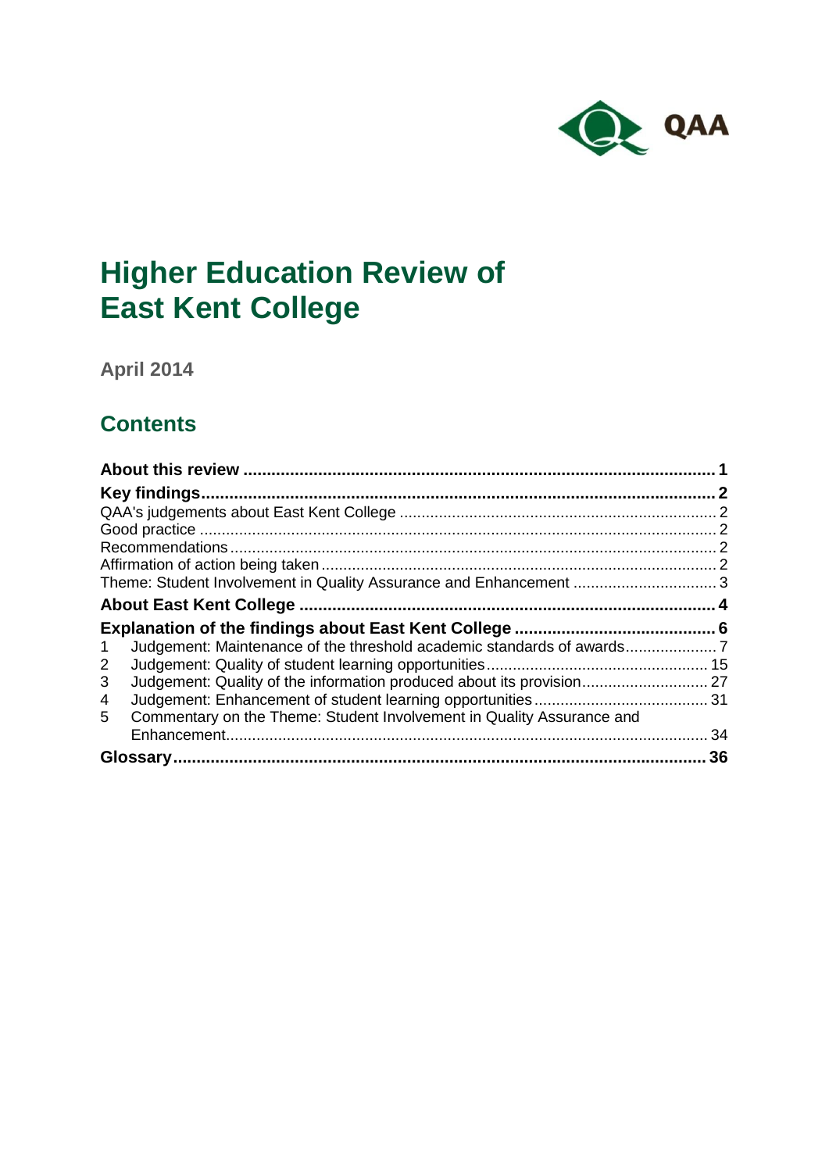

# **Higher Education Review of East Kent College**

**April 2014**

## **Contents**

| $\mathbf 1$                                                                |    |
|----------------------------------------------------------------------------|----|
| Judgement: Maintenance of the threshold academic standards of awards<br>2  |    |
| 3                                                                          |    |
| 4                                                                          |    |
| Commentary on the Theme: Student Involvement in Quality Assurance and<br>5 |    |
|                                                                            | 34 |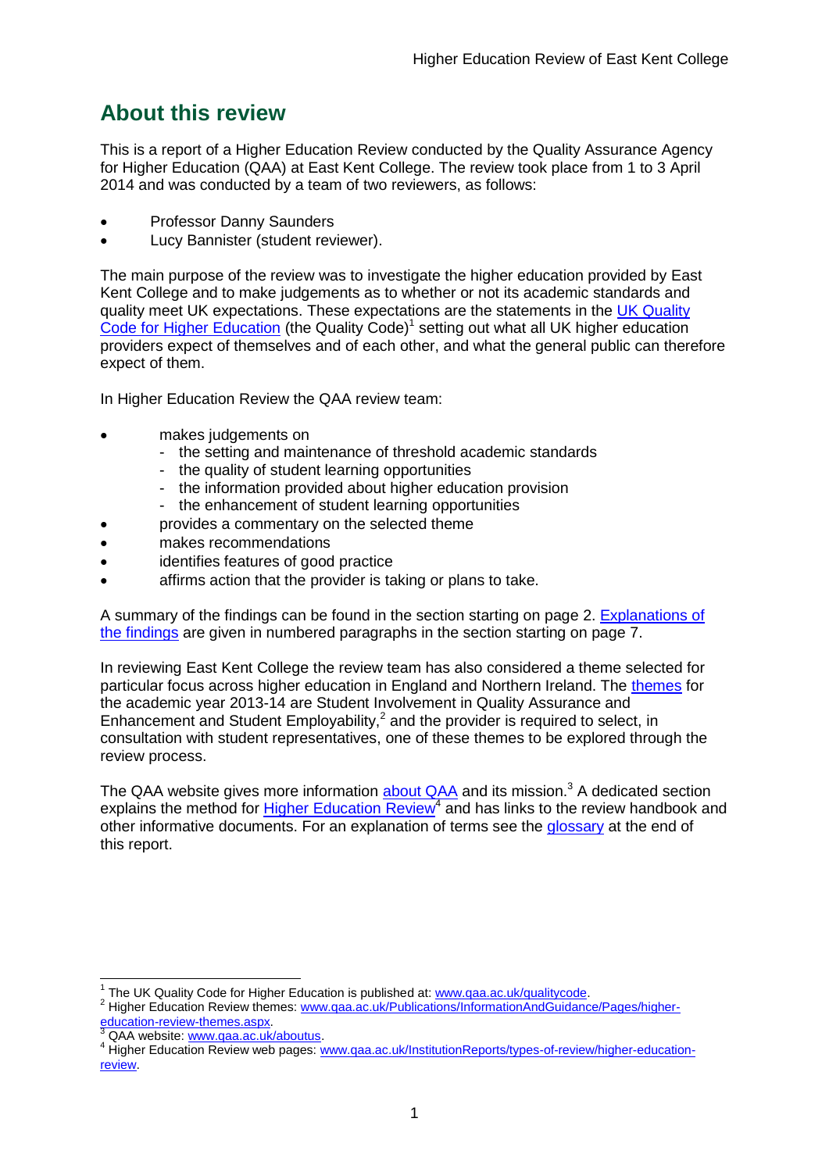## <span id="page-1-0"></span>**About this review**

This is a report of a Higher Education Review conducted by the Quality Assurance Agency for Higher Education (QAA) at East Kent College. The review took place from 1 to 3 April 2014 and was conducted by a team of two reviewers, as follows:

- Professor Danny Saunders
- Lucy Bannister (student reviewer).

The main purpose of the review was to investigate the higher education provided by East Kent College and to make judgements as to whether or not its academic standards and quality meet UK expectations. These expectations are the statements in the [UK Quality](http://www.qaa.ac.uk/AssuringStandardsAndQuality/quality-code/Pages/default.aspx)  [Code for Higher Education](http://www.qaa.ac.uk/AssuringStandardsAndQuality/quality-code/Pages/default.aspx) (the Quality Code)<sup>1</sup> setting out what all UK higher education [providers](http://newlive.qaa.ac.uk/AboutUs/glossary/Pages/glossary-h.aspx#h2.1) expect of themselves and of each other, and what the general public can therefore expect of them.

In Higher Education Review the QAA review team:

- makes judgements on
	- the setting and maintenance of threshold academic standards
	- the quality of student learning opportunities
	- the information provided about higher education provision
	- the enhancement of student learning opportunities
- provides a commentary on the selected theme
- makes recommendations
- identifies features of good practice
- affirms action that the provider is taking or plans to take.

A summary of the findings can be found in the section starting on page 2. [Explanations of](#page-5-0)  [the findings](#page-5-0) are given in numbered paragraphs in the section starting on page 7.

In reviewing East Kent College the review team has also considered a theme selected for particular focus across higher education in England and Northern Ireland. The [themes](http://www.qaa.ac.uk/Publications/InformationAndGuidance/Pages/higher-education-review-themes.aspx) for the academic year 2013-14 are Student Involvement in Quality Assurance and Enhancement and Student Employability, $^2$  and the provider is required to select, in consultation with student representatives, one of these themes to be explored through the review process.

The QAA website gives more information [about QAA](http://www.qaa.ac.uk/aboutus/pages/default.aspx) and its mission.<sup>3</sup> A dedicated section explains the method for **Higher Education Review<sup>4</sup>** and has links to the review handbook and other informative documents. For an explanation of terms see the [glossary](#page-35-0) at the end of this report.

1 The UK Quality Code for Higher Education is published at[: www.qaa.ac.uk/qualitycode.](http://www.qaa.ac.uk/qualitycode)

<sup>2</sup> Higher Education Review themes: [www.qaa.ac.uk/Publications/InformationAndGuidance/Pages/higher](http://www.qaa.ac.uk/Publications/InformationAndGuidance/Pages/higher-education-review-themes.aspx)[education-review-themes.aspx.](http://www.qaa.ac.uk/Publications/InformationAndGuidance/Pages/higher-education-review-themes.aspx)

<sup>3</sup> QAA website: [www.qaa.ac.uk/aboutus.](http://www.qaa.ac.uk/aboutus/pages/default.aspx)

<sup>4</sup> Higher Education Review web pages: [www.qaa.ac.uk/InstitutionReports/types-of-review/higher-education](http://www.qaa.ac.uk/InstitutionReports/types-of-review/higher-education-review)[review.](http://www.qaa.ac.uk/InstitutionReports/types-of-review/higher-education-review)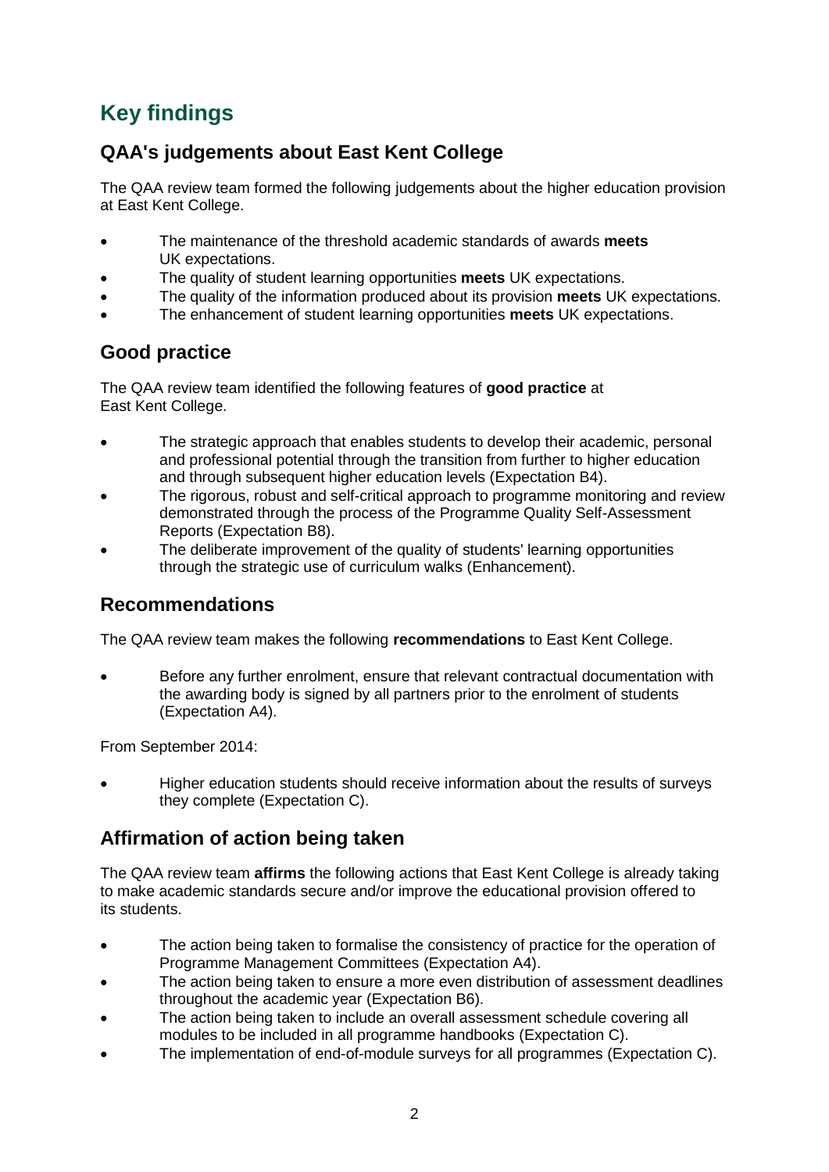## <span id="page-2-0"></span>**Key findings**

## <span id="page-2-1"></span>**QAA's judgements about East Kent College**

The QAA review team formed the following judgements about the higher education provision at East Kent College.

- The maintenance of the threshold academic standards of awards **meets** UK expectations.
- The quality of student learning opportunities **meets** UK expectations.
- The quality of the information produced about its provision **meets** UK expectations.
- The enhancement of student learning opportunities **meets** UK expectations.

## <span id="page-2-2"></span>**Good practice**

The QAA review team identified the following features of **good practice** at East Kent College.

- The strategic approach that enables students to develop their academic, personal and professional potential through the transition from further to higher education and through subsequent higher education levels (Expectation B4).
- The rigorous, robust and self-critical approach to programme monitoring and review demonstrated through the process of the Programme Quality Self-Assessment Reports (Expectation B8).
- The deliberate improvement of the quality of students' learning opportunities through the strategic use of curriculum walks (Enhancement).

## <span id="page-2-3"></span>**Recommendations**

The QAA review team makes the following **recommendations** to East Kent College.

 Before any further enrolment, ensure that relevant contractual documentation with the awarding body is signed by all partners prior to the enrolment of students (Expectation A4).

From September 2014:

 Higher education students should receive information about the results of surveys they complete (Expectation C).

## <span id="page-2-4"></span>**Affirmation of action being taken**

The QAA review team **affirms** the following actions that East Kent College is already taking to make academic standards secure and/or improve the educational provision offered to its students.

- The action being taken to formalise the consistency of practice for the operation of Programme Management Committees (Expectation A4).
- The action being taken to ensure a more even distribution of assessment deadlines throughout the academic year (Expectation B6).
- The action being taken to include an overall assessment schedule covering all modules to be included in all programme handbooks (Expectation C).
- The implementation of end-of-module surveys for all programmes (Expectation C).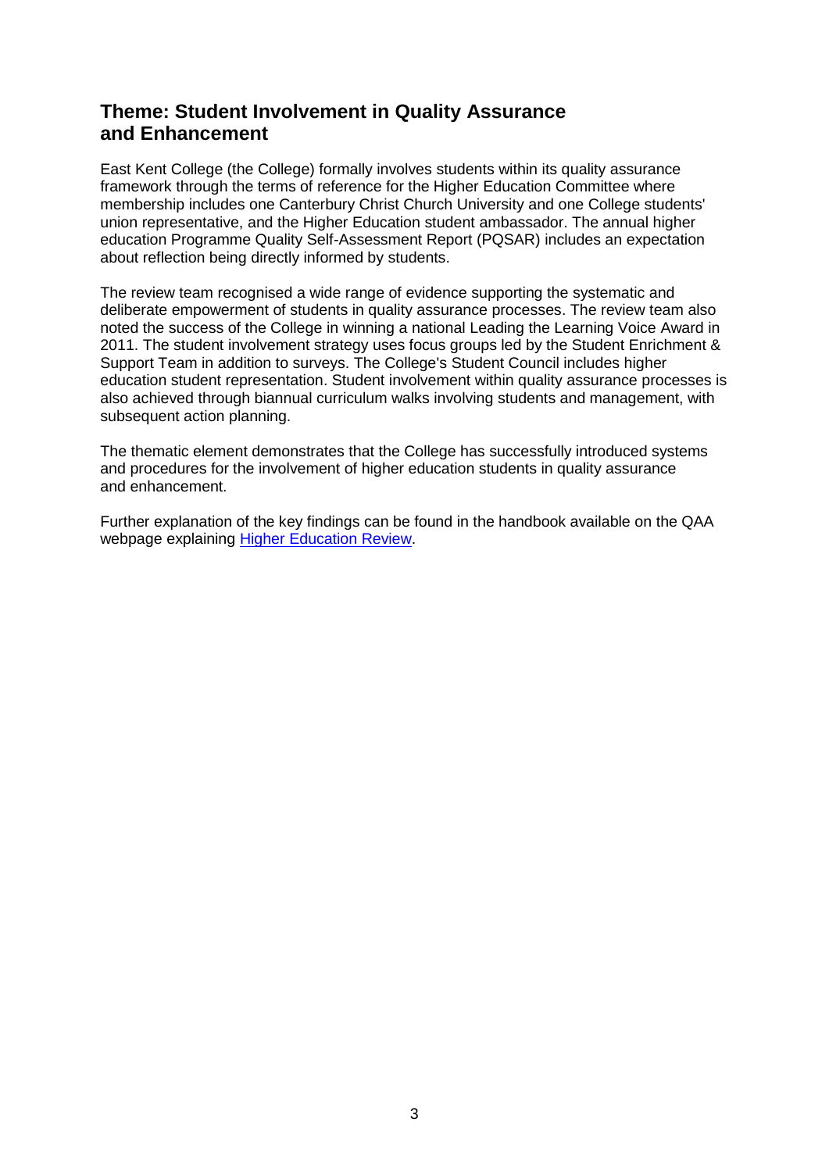## <span id="page-3-0"></span>**Theme: Student Involvement in Quality Assurance and Enhancement**

East Kent College (the College) formally involves students within its quality assurance framework through the terms of reference for the Higher Education Committee where membership includes one Canterbury Christ Church University and one College students' union representative, and the Higher Education student ambassador. The annual higher education Programme Quality Self-Assessment Report (PQSAR) includes an expectation about reflection being directly informed by students.

The review team recognised a wide range of evidence supporting the systematic and deliberate empowerment of students in quality assurance processes. The review team also noted the success of the College in winning a national Leading the Learning Voice Award in 2011. The student involvement strategy uses focus groups led by the Student Enrichment & Support Team in addition to surveys. The College's Student Council includes higher education student representation. Student involvement within quality assurance processes is also achieved through biannual curriculum walks involving students and management, with subsequent action planning.

The thematic element demonstrates that the College has successfully introduced systems and procedures for the involvement of higher education students in quality assurance and enhancement.

Further explanation of the key findings can be found in the handbook available on the QAA webpage explaining **Higher Education Review.**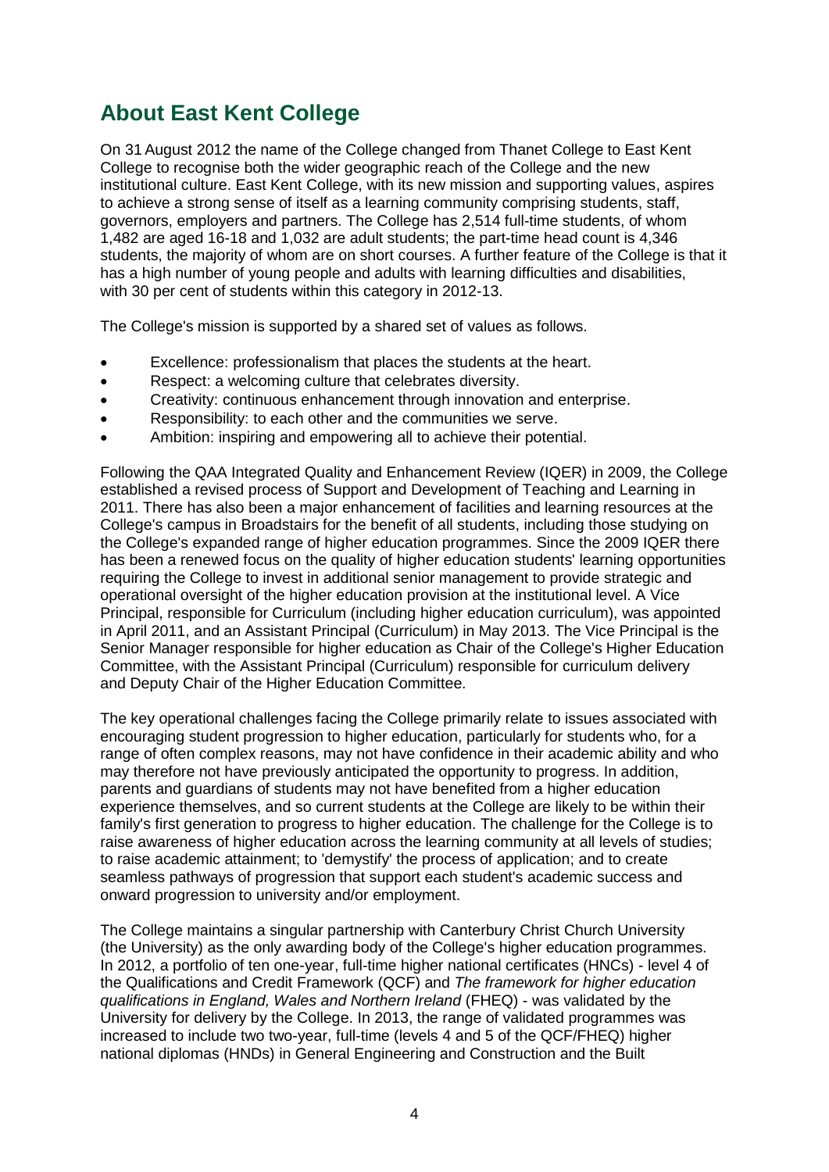## <span id="page-4-0"></span>**About East Kent College**

On 31 August 2012 the name of the College changed from Thanet College to East Kent College to recognise both the wider geographic reach of the College and the new institutional culture. East Kent College, with its new mission and supporting values, aspires to achieve a strong sense of itself as a learning community comprising students, staff, governors, employers and partners. The College has 2,514 full-time students, of whom 1,482 are aged 16-18 and 1,032 are adult students; the part-time head count is 4,346 students, the majority of whom are on short courses. A further feature of the College is that it has a high number of young people and adults with learning difficulties and disabilities, with 30 per cent of students within this category in 2012-13.

The College's mission is supported by a shared set of values as follows.

- Excellence: professionalism that places the students at the heart.
- Respect: a welcoming culture that celebrates diversity.
- Creativity: continuous enhancement through innovation and enterprise.
- Responsibility: to each other and the communities we serve.
- Ambition: inspiring and empowering all to achieve their potential.

Following the QAA Integrated Quality and Enhancement Review (IQER) in 2009, the College established a revised process of Support and Development of Teaching and Learning in 2011. There has also been a major enhancement of facilities and learning resources at the College's campus in Broadstairs for the benefit of all students, including those studying on the College's expanded range of higher education programmes. Since the 2009 IQER there has been a renewed focus on the quality of higher education students' learning opportunities requiring the College to invest in additional senior management to provide strategic and operational oversight of the higher education provision at the institutional level. A Vice Principal, responsible for Curriculum (including higher education curriculum), was appointed in April 2011, and an Assistant Principal (Curriculum) in May 2013. The Vice Principal is the Senior Manager responsible for higher education as Chair of the College's Higher Education Committee, with the Assistant Principal (Curriculum) responsible for curriculum delivery and Deputy Chair of the Higher Education Committee.

The key operational challenges facing the College primarily relate to issues associated with encouraging student progression to higher education, particularly for students who, for a range of often complex reasons, may not have confidence in their academic ability and who may therefore not have previously anticipated the opportunity to progress. In addition, parents and guardians of students may not have benefited from a higher education experience themselves, and so current students at the College are likely to be within their family's first generation to progress to higher education. The challenge for the College is to raise awareness of higher education across the learning community at all levels of studies; to raise academic attainment; to 'demystify' the process of application; and to create seamless pathways of progression that support each student's academic success and onward progression to university and/or employment.

The College maintains a singular partnership with Canterbury Christ Church University (the University) as the only awarding body of the College's higher education programmes. In 2012, a portfolio of ten one-year, full-time higher national certificates (HNCs) - level 4 of the Qualifications and Credit Framework (QCF) and *The framework for higher education qualifications in England, Wales and Northern Ireland* (FHEQ) - was validated by the University for delivery by the College. In 2013, the range of validated programmes was increased to include two two-year, full-time (levels 4 and 5 of the QCF/FHEQ) higher national diplomas (HNDs) in General Engineering and Construction and the Built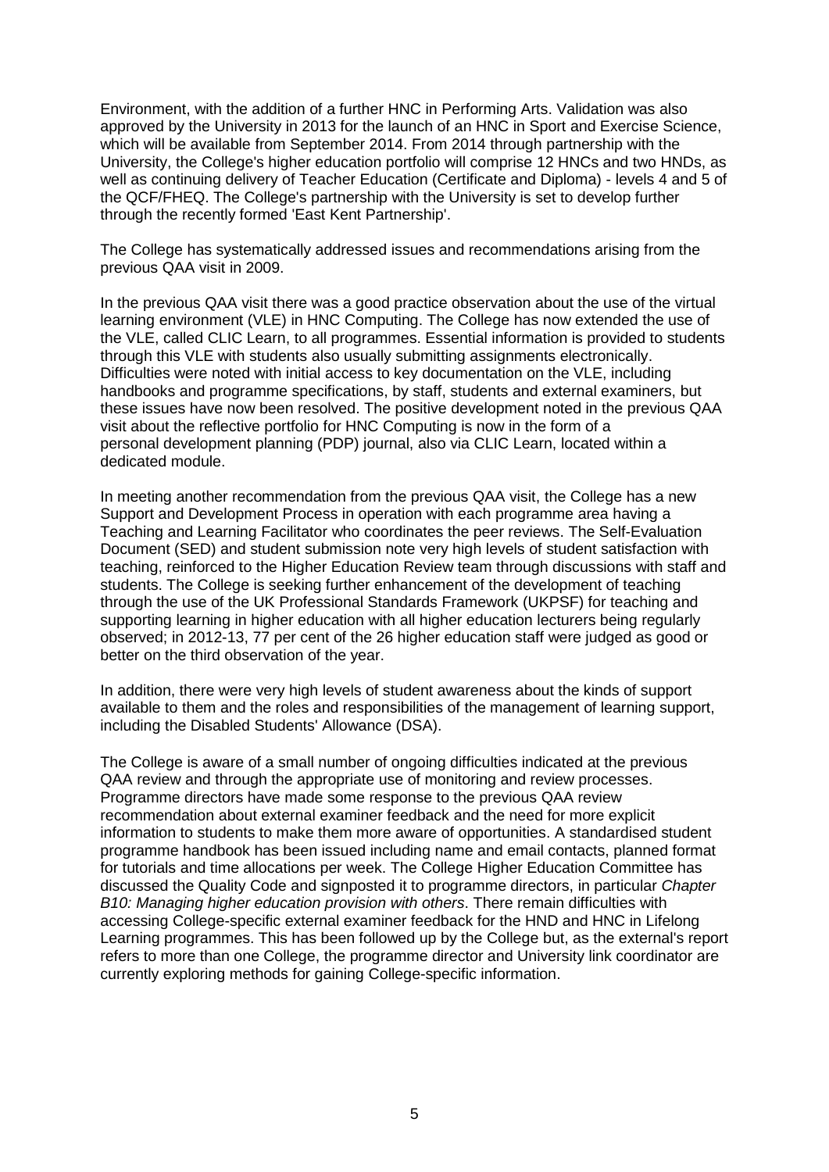Environment, with the addition of a further HNC in Performing Arts. Validation was also approved by the University in 2013 for the launch of an HNC in Sport and Exercise Science, which will be available from September 2014. From 2014 through partnership with the University, the College's higher education portfolio will comprise 12 HNCs and two HNDs, as well as continuing delivery of Teacher Education (Certificate and Diploma) - levels 4 and 5 of the QCF/FHEQ. The College's partnership with the University is set to develop further through the recently formed 'East Kent Partnership'.

The College has systematically addressed issues and recommendations arising from the previous QAA visit in 2009.

In the previous QAA visit there was a good practice observation about the use of the virtual learning environment (VLE) in HNC Computing. The College has now extended the use of the VLE, called CLIC Learn, to all programmes. Essential information is provided to students through this VLE with students also usually submitting assignments electronically. Difficulties were noted with initial access to key documentation on the VLE, including handbooks and programme specifications, by staff, students and external examiners, but these issues have now been resolved. The positive development noted in the previous QAA visit about the reflective portfolio for HNC Computing is now in the form of a personal development planning (PDP) journal, also via CLIC Learn, located within a dedicated module.

In meeting another recommendation from the previous QAA visit, the College has a new Support and Development Process in operation with each programme area having a Teaching and Learning Facilitator who coordinates the peer reviews. The Self-Evaluation Document (SED) and student submission note very high levels of student satisfaction with teaching, reinforced to the Higher Education Review team through discussions with staff and students. The College is seeking further enhancement of the development of teaching through the use of the UK Professional Standards Framework (UKPSF) for teaching and supporting learning in higher education with all higher education lecturers being regularly observed; in 2012-13, 77 per cent of the 26 higher education staff were judged as good or better on the third observation of the year.

In addition, there were very high levels of student awareness about the kinds of support available to them and the roles and responsibilities of the management of learning support, including the Disabled Students' Allowance (DSA).

<span id="page-5-0"></span>The College is aware of a small number of ongoing difficulties indicated at the previous QAA review and through the appropriate use of monitoring and review processes. Programme directors have made some response to the previous QAA review recommendation about external examiner feedback and the need for more explicit information to students to make them more aware of opportunities. A standardised student programme handbook has been issued including name and email contacts, planned format for tutorials and time allocations per week. The College Higher Education Committee has discussed the Quality Code and signposted it to programme directors, in particular *Chapter B10: Managing higher education provision with others*. There remain difficulties with accessing College-specific external examiner feedback for the HND and HNC in Lifelong Learning programmes. This has been followed up by the College but, as the external's report refers to more than one College, the programme director and University link coordinator are currently exploring methods for gaining College-specific information.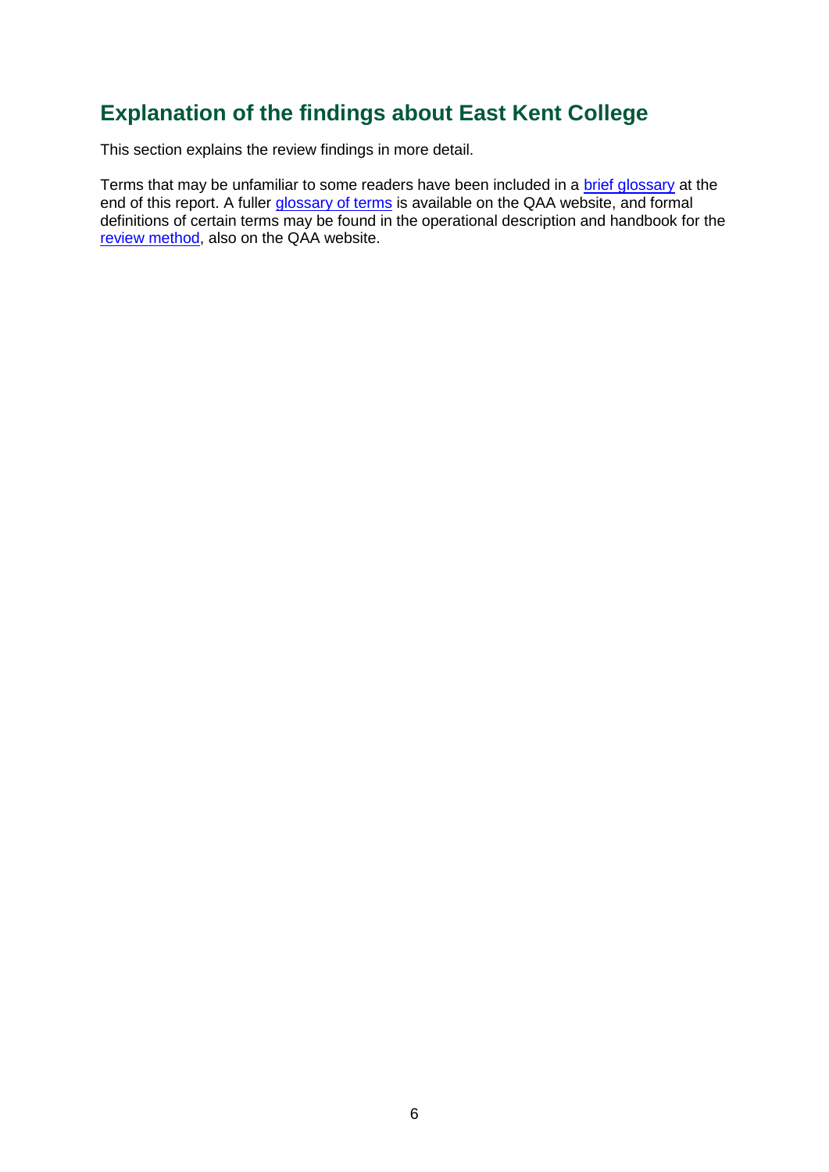## <span id="page-6-0"></span>**Explanation of the findings about East Kent College**

This section explains the review findings in more detail.

Terms that may be unfamiliar to some readers have been included in a [brief glossary](#page-35-0) at the end of this report. A fuller [glossary of terms](http://www.qaa.ac.uk/AboutUs/glossary/Pages/default.aspx) is available on the QAA website, and formal definitions of certain terms may be found in the operational description and handbook for the [review method,](http://www.qaa.ac.uk/InstitutionReports/types-of-review/Pages/IRENI.aspx) also on the QAA website.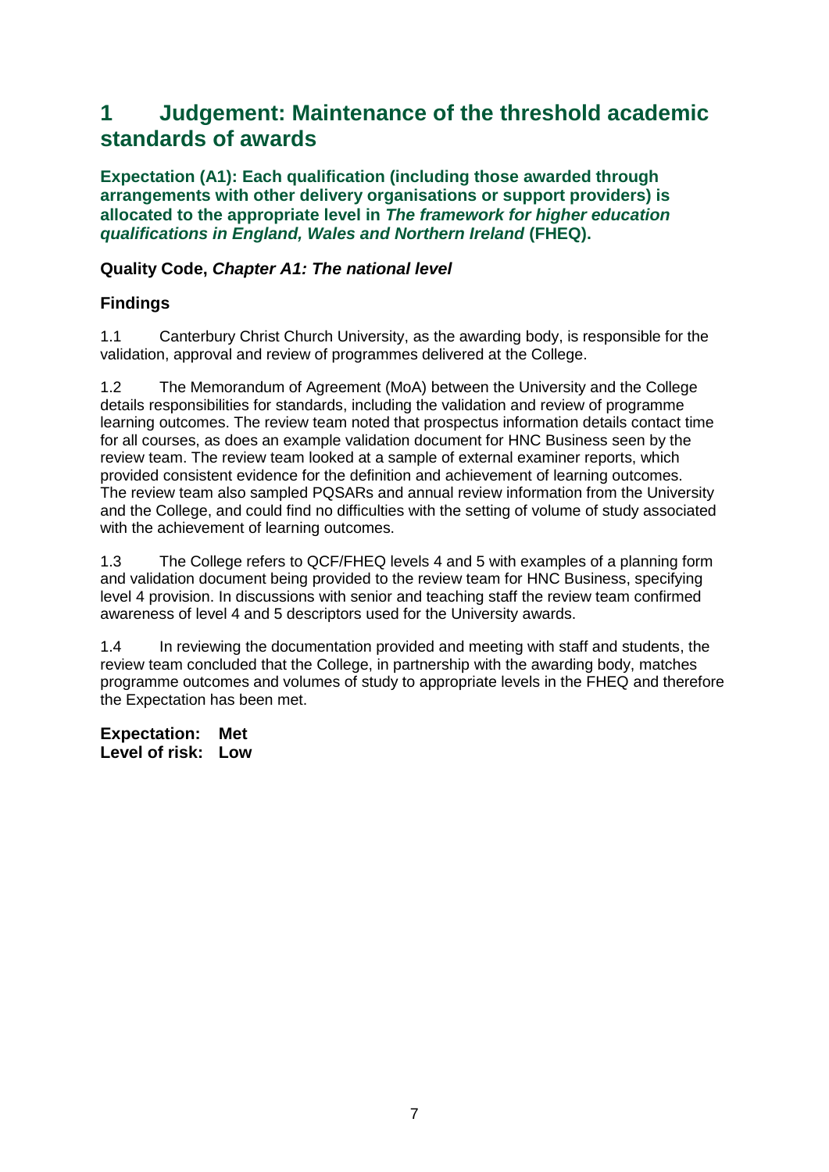## <span id="page-7-0"></span>**1 Judgement: Maintenance of the threshold academic standards of awards**

**Expectation (A1): Each qualification (including those awarded through arrangements with other delivery organisations or support providers) is allocated to the appropriate level in** *The framework for higher education qualifications in England, Wales and Northern Ireland* **(FHEQ).**

### **Quality Code,** *Chapter A1: The national level*

#### **Findings**

1.1 Canterbury Christ Church University, as the awarding body, is responsible for the validation, approval and review of programmes delivered at the College.

1.2 The Memorandum of Agreement (MoA) between the University and the College details responsibilities for standards, including the validation and review of programme learning outcomes. The review team noted that prospectus information details contact time for all courses, as does an example validation document for HNC Business seen by the review team. The review team looked at a sample of external examiner reports, which provided consistent evidence for the definition and achievement of learning outcomes. The review team also sampled PQSARs and annual review information from the University and the College, and could find no difficulties with the setting of volume of study associated with the achievement of learning outcomes.

1.3 The College refers to QCF/FHEQ levels 4 and 5 with examples of a planning form and validation document being provided to the review team for HNC Business, specifying level 4 provision. In discussions with senior and teaching staff the review team confirmed awareness of level 4 and 5 descriptors used for the University awards.

1.4 In reviewing the documentation provided and meeting with staff and students, the review team concluded that the College, in partnership with the awarding body, matches programme outcomes and volumes of study to appropriate levels in the FHEQ and therefore the Expectation has been met.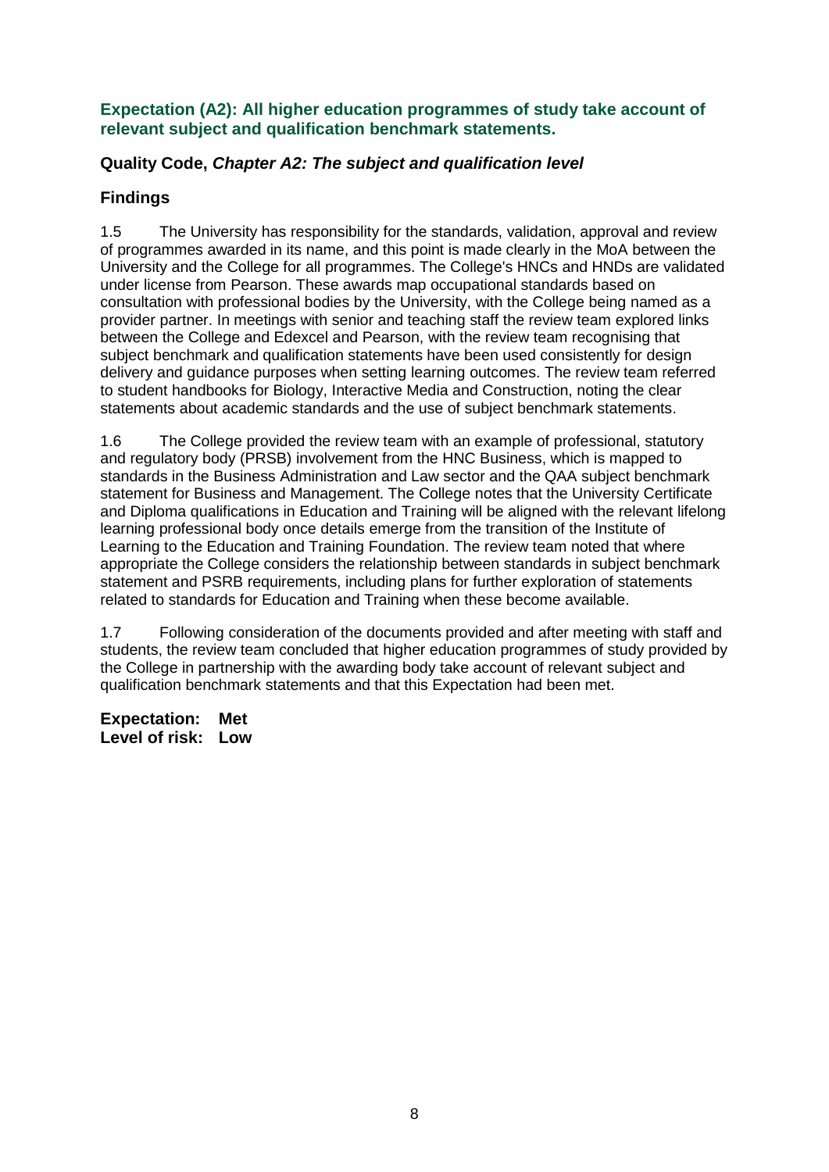#### **Expectation (A2): All higher education programmes of study take account of relevant subject and qualification benchmark statements.**

## **Quality Code,** *Chapter A2: The subject and qualification level*

## **Findings**

1.5 The University has responsibility for the standards, validation, approval and review of programmes awarded in its name, and this point is made clearly in the MoA between the University and the College for all programmes. The College's HNCs and HNDs are validated under license from Pearson. These awards map occupational standards based on consultation with professional bodies by the University, with the College being named as a provider partner. In meetings with senior and teaching staff the review team explored links between the College and Edexcel and Pearson, with the review team recognising that subject benchmark and qualification statements have been used consistently for design delivery and guidance purposes when setting learning outcomes. The review team referred to student handbooks for Biology, Interactive Media and Construction, noting the clear statements about academic standards and the use of subject benchmark statements.

1.6 The College provided the review team with an example of professional, statutory and regulatory body (PRSB) involvement from the HNC Business, which is mapped to standards in the Business Administration and Law sector and the QAA subject benchmark statement for Business and Management. The College notes that the University Certificate and Diploma qualifications in Education and Training will be aligned with the relevant lifelong learning professional body once details emerge from the transition of the Institute of Learning to the Education and Training Foundation. The review team noted that where appropriate the College considers the relationship between standards in subject benchmark statement and PSRB requirements, including plans for further exploration of statements related to standards for Education and Training when these become available.

1.7 Following consideration of the documents provided and after meeting with staff and students, the review team concluded that higher education programmes of study provided by the College in partnership with the awarding body take account of relevant subject and qualification benchmark statements and that this Expectation had been met.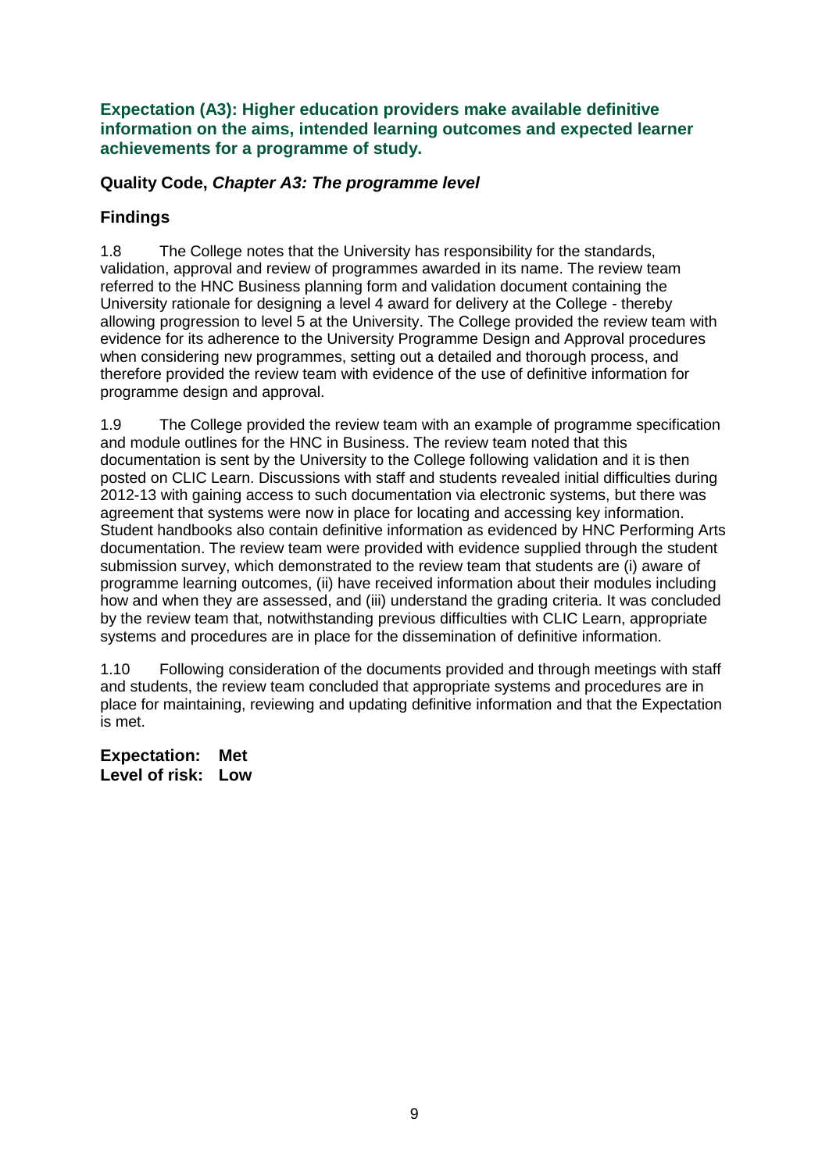**Expectation (A3): Higher education providers make available definitive information on the aims, intended learning outcomes and expected learner achievements for a programme of study.**

### **Quality Code,** *Chapter A3: The programme level*

### **Findings**

1.8 The College notes that the University has responsibility for the standards, validation, approval and review of programmes awarded in its name. The review team referred to the HNC Business planning form and validation document containing the University rationale for designing a level 4 award for delivery at the College - thereby allowing progression to level 5 at the University. The College provided the review team with evidence for its adherence to the University Programme Design and Approval procedures when considering new programmes, setting out a detailed and thorough process, and therefore provided the review team with evidence of the use of definitive information for programme design and approval.

1.9 The College provided the review team with an example of programme specification and module outlines for the HNC in Business. The review team noted that this documentation is sent by the University to the College following validation and it is then posted on CLIC Learn. Discussions with staff and students revealed initial difficulties during 2012-13 with gaining access to such documentation via electronic systems, but there was agreement that systems were now in place for locating and accessing key information. Student handbooks also contain definitive information as evidenced by HNC Performing Arts documentation. The review team were provided with evidence supplied through the student submission survey, which demonstrated to the review team that students are (i) aware of programme learning outcomes, (ii) have received information about their modules including how and when they are assessed, and (iii) understand the grading criteria. It was concluded by the review team that, notwithstanding previous difficulties with CLIC Learn, appropriate systems and procedures are in place for the dissemination of definitive information.

1.10 Following consideration of the documents provided and through meetings with staff and students, the review team concluded that appropriate systems and procedures are in place for maintaining, reviewing and updating definitive information and that the Expectation is met.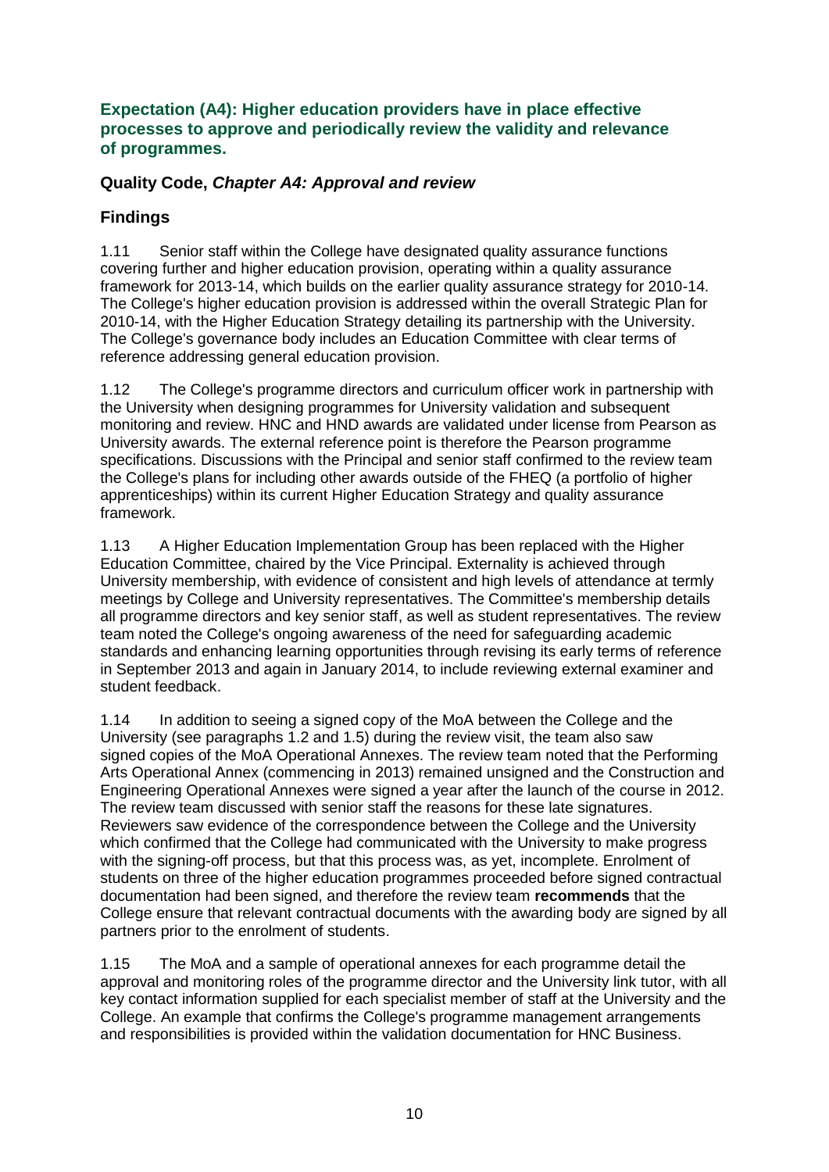#### **Expectation (A4): Higher education providers have in place effective processes to approve and periodically review the validity and relevance of programmes.**

### **Quality Code,** *Chapter A4: Approval and review*

## **Findings**

1.11 Senior staff within the College have designated quality assurance functions covering further and higher education provision, operating within a quality assurance framework for 2013-14, which builds on the earlier quality assurance strategy for 2010-14. The College's higher education provision is addressed within the overall Strategic Plan for 2010-14, with the Higher Education Strategy detailing its partnership with the University. The College's governance body includes an Education Committee with clear terms of reference addressing general education provision.

1.12 The College's programme directors and curriculum officer work in partnership with the University when designing programmes for University validation and subsequent monitoring and review. HNC and HND awards are validated under license from Pearson as University awards. The external reference point is therefore the Pearson programme specifications. Discussions with the Principal and senior staff confirmed to the review team the College's plans for including other awards outside of the FHEQ (a portfolio of higher apprenticeships) within its current Higher Education Strategy and quality assurance framework.

1.13 A Higher Education Implementation Group has been replaced with the Higher Education Committee, chaired by the Vice Principal. Externality is achieved through University membership, with evidence of consistent and high levels of attendance at termly meetings by College and University representatives. The Committee's membership details all programme directors and key senior staff, as well as student representatives. The review team noted the College's ongoing awareness of the need for safeguarding academic standards and enhancing learning opportunities through revising its early terms of reference in September 2013 and again in January 2014, to include reviewing external examiner and student feedback.

1.14 In addition to seeing a signed copy of the MoA between the College and the University (see paragraphs 1.2 and 1.5) during the review visit, the team also saw signed copies of the MoA Operational Annexes. The review team noted that the Performing Arts Operational Annex (commencing in 2013) remained unsigned and the Construction and Engineering Operational Annexes were signed a year after the launch of the course in 2012. The review team discussed with senior staff the reasons for these late signatures. Reviewers saw evidence of the correspondence between the College and the University which confirmed that the College had communicated with the University to make progress with the signing-off process, but that this process was, as yet, incomplete. Enrolment of students on three of the higher education programmes proceeded before signed contractual documentation had been signed, and therefore the review team **recommends** that the College ensure that relevant contractual documents with the awarding body are signed by all partners prior to the enrolment of students.

1.15 The MoA and a sample of operational annexes for each programme detail the approval and monitoring roles of the programme director and the University link tutor, with all key contact information supplied for each specialist member of staff at the University and the College. An example that confirms the College's programme management arrangements and responsibilities is provided within the validation documentation for HNC Business.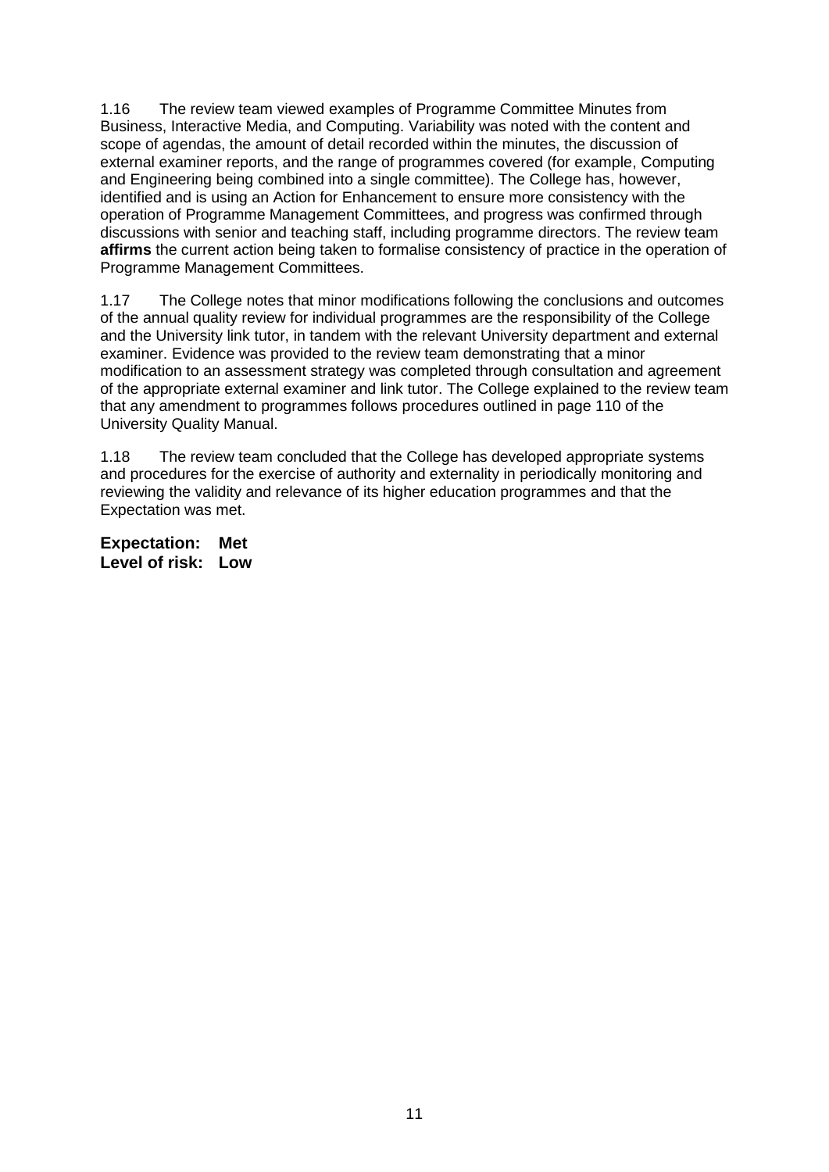1.16 The review team viewed examples of Programme Committee Minutes from Business, Interactive Media, and Computing. Variability was noted with the content and scope of agendas, the amount of detail recorded within the minutes, the discussion of external examiner reports, and the range of programmes covered (for example, Computing and Engineering being combined into a single committee). The College has, however, identified and is using an Action for Enhancement to ensure more consistency with the operation of Programme Management Committees, and progress was confirmed through discussions with senior and teaching staff, including programme directors. The review team **affirms** the current action being taken to formalise consistency of practice in the operation of Programme Management Committees.

1.17 The College notes that minor modifications following the conclusions and outcomes of the annual quality review for individual programmes are the responsibility of the College and the University link tutor, in tandem with the relevant University department and external examiner. Evidence was provided to the review team demonstrating that a minor modification to an assessment strategy was completed through consultation and agreement of the appropriate external examiner and link tutor. The College explained to the review team that any amendment to programmes follows procedures outlined in page 110 of the University Quality Manual.

1.18 The review team concluded that the College has developed appropriate systems and procedures for the exercise of authority and externality in periodically monitoring and reviewing the validity and relevance of its higher education programmes and that the Expectation was met.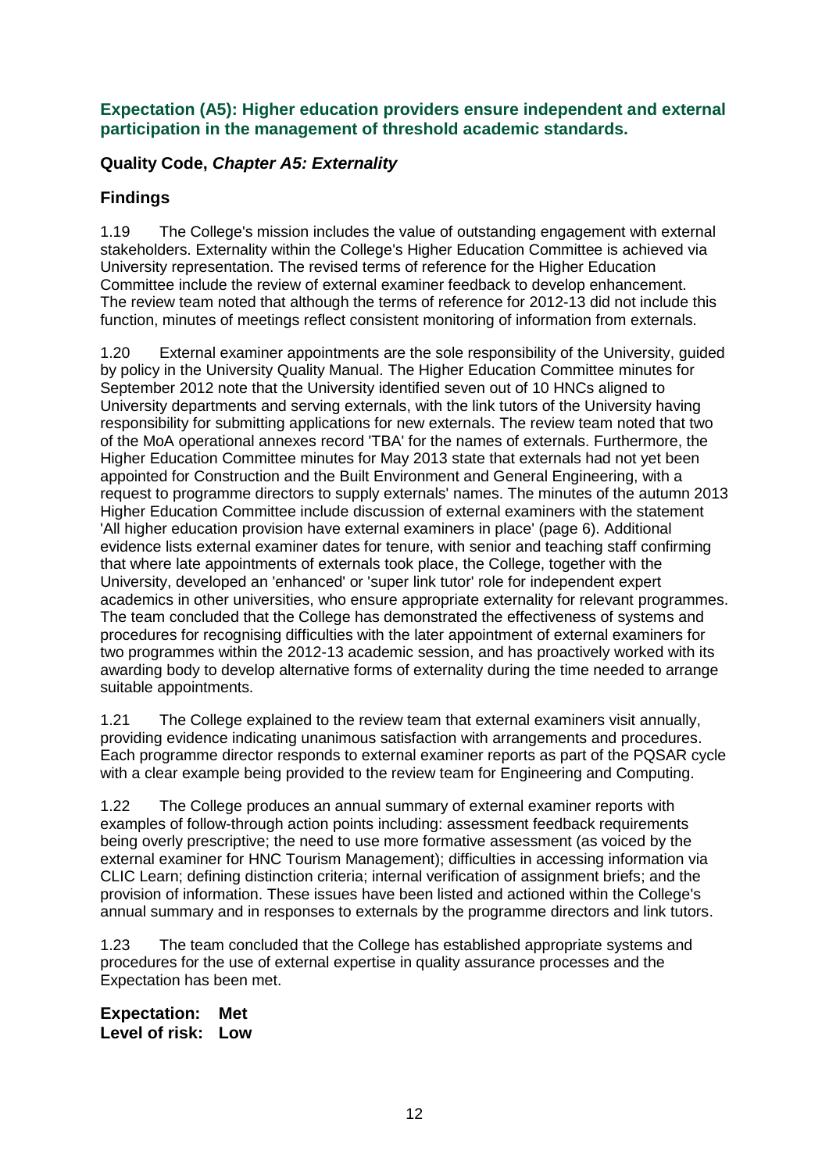#### **Expectation (A5): Higher education providers ensure independent and external participation in the management of threshold academic standards.**

### **Quality Code,** *Chapter A5: Externality*

### **Findings**

1.19 The College's mission includes the value of outstanding engagement with external stakeholders. Externality within the College's Higher Education Committee is achieved via University representation. The revised terms of reference for the Higher Education Committee include the review of external examiner feedback to develop enhancement. The review team noted that although the terms of reference for 2012-13 did not include this function, minutes of meetings reflect consistent monitoring of information from externals.

1.20 External examiner appointments are the sole responsibility of the University, guided by policy in the University Quality Manual. The Higher Education Committee minutes for September 2012 note that the University identified seven out of 10 HNCs aligned to University departments and serving externals, with the link tutors of the University having responsibility for submitting applications for new externals. The review team noted that two of the MoA operational annexes record 'TBA' for the names of externals. Furthermore, the Higher Education Committee minutes for May 2013 state that externals had not yet been appointed for Construction and the Built Environment and General Engineering, with a request to programme directors to supply externals' names. The minutes of the autumn 2013 Higher Education Committee include discussion of external examiners with the statement 'All higher education provision have external examiners in place' (page 6). Additional evidence lists external examiner dates for tenure, with senior and teaching staff confirming that where late appointments of externals took place, the College, together with the University, developed an 'enhanced' or 'super link tutor' role for independent expert academics in other universities, who ensure appropriate externality for relevant programmes. The team concluded that the College has demonstrated the effectiveness of systems and procedures for recognising difficulties with the later appointment of external examiners for two programmes within the 2012-13 academic session, and has proactively worked with its awarding body to develop alternative forms of externality during the time needed to arrange suitable appointments.

1.21 The College explained to the review team that external examiners visit annually, providing evidence indicating unanimous satisfaction with arrangements and procedures. Each programme director responds to external examiner reports as part of the PQSAR cycle with a clear example being provided to the review team for Engineering and Computing.

1.22 The College produces an annual summary of external examiner reports with examples of follow-through action points including: assessment feedback requirements being overly prescriptive; the need to use more formative assessment (as voiced by the external examiner for HNC Tourism Management); difficulties in accessing information via CLIC Learn; defining distinction criteria; internal verification of assignment briefs; and the provision of information. These issues have been listed and actioned within the College's annual summary and in responses to externals by the programme directors and link tutors.

1.23 The team concluded that the College has established appropriate systems and procedures for the use of external expertise in quality assurance processes and the Expectation has been met.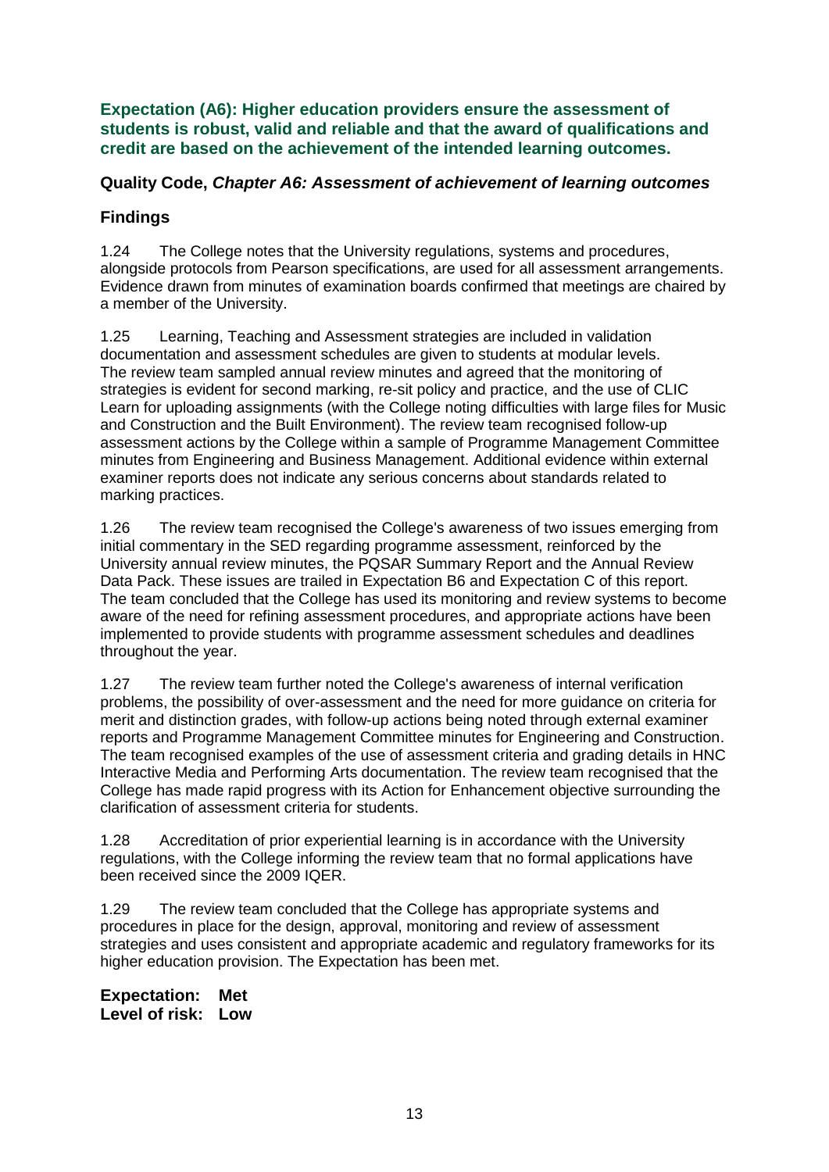**Expectation (A6): Higher education providers ensure the assessment of students is robust, valid and reliable and that the award of qualifications and credit are based on the achievement of the intended learning outcomes.** 

#### **Quality Code,** *Chapter A6: Assessment of achievement of learning outcomes*

### **Findings**

1.24 The College notes that the University regulations, systems and procedures, alongside protocols from Pearson specifications, are used for all assessment arrangements. Evidence drawn from minutes of examination boards confirmed that meetings are chaired by a member of the University.

1.25 Learning, Teaching and Assessment strategies are included in validation documentation and assessment schedules are given to students at modular levels. The review team sampled annual review minutes and agreed that the monitoring of strategies is evident for second marking, re-sit policy and practice, and the use of CLIC Learn for uploading assignments (with the College noting difficulties with large files for Music and Construction and the Built Environment). The review team recognised follow-up assessment actions by the College within a sample of Programme Management Committee minutes from Engineering and Business Management. Additional evidence within external examiner reports does not indicate any serious concerns about standards related to marking practices.

1.26 The review team recognised the College's awareness of two issues emerging from initial commentary in the SED regarding programme assessment, reinforced by the University annual review minutes, the PQSAR Summary Report and the Annual Review Data Pack. These issues are trailed in Expectation B6 and Expectation C of this report. The team concluded that the College has used its monitoring and review systems to become aware of the need for refining assessment procedures, and appropriate actions have been implemented to provide students with programme assessment schedules and deadlines throughout the year.

1.27 The review team further noted the College's awareness of internal verification problems, the possibility of over-assessment and the need for more guidance on criteria for merit and distinction grades, with follow-up actions being noted through external examiner reports and Programme Management Committee minutes for Engineering and Construction. The team recognised examples of the use of assessment criteria and grading details in HNC Interactive Media and Performing Arts documentation. The review team recognised that the College has made rapid progress with its Action for Enhancement objective surrounding the clarification of assessment criteria for students.

1.28 Accreditation of prior experiential learning is in accordance with the University regulations, with the College informing the review team that no formal applications have been received since the 2009 IQER.

1.29 The review team concluded that the College has appropriate systems and procedures in place for the design, approval, monitoring and review of assessment strategies and uses consistent and appropriate academic and regulatory frameworks for its higher education provision. The Expectation has been met.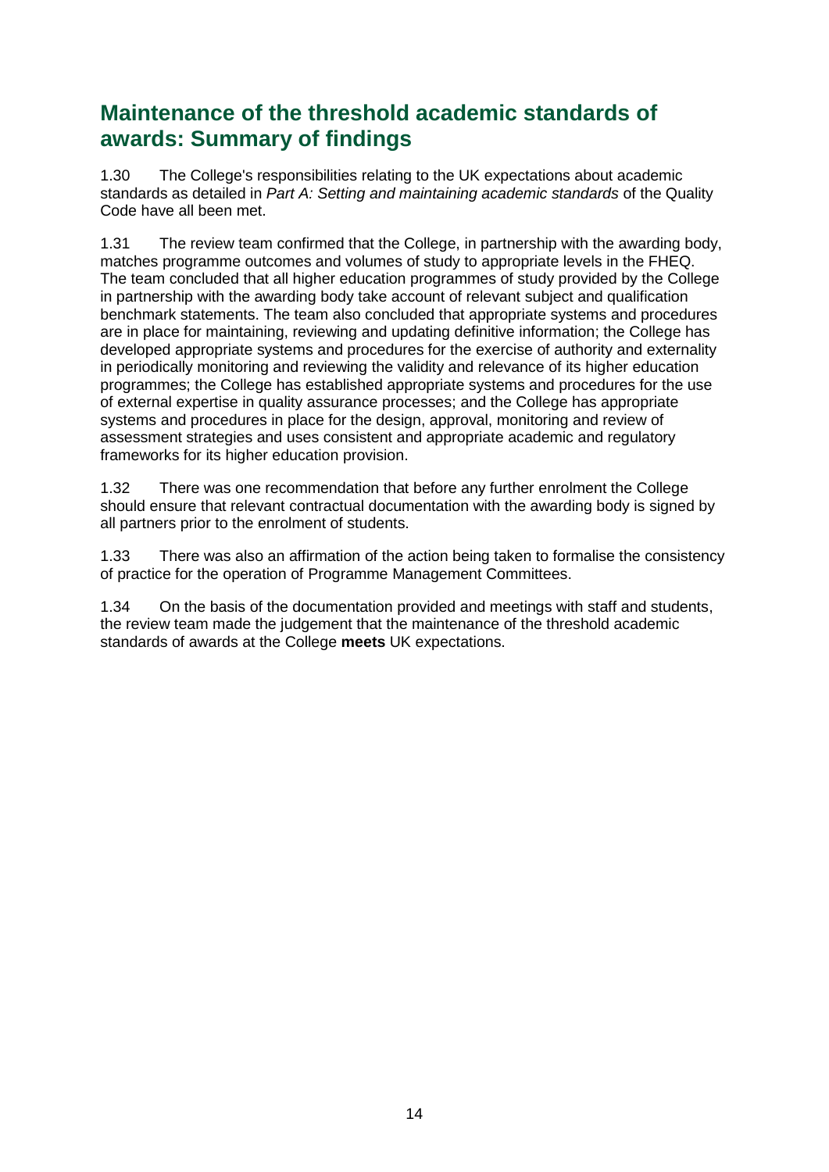## **Maintenance of the threshold academic standards of awards: Summary of findings**

1.30 The College's responsibilities relating to the UK expectations about academic standards as detailed in *Part A: Setting and maintaining academic standards* of the Quality Code have all been met.

1.31 The review team confirmed that the College, in partnership with the awarding body, matches programme outcomes and volumes of study to appropriate levels in the FHEQ. The team concluded that all higher education programmes of study provided by the College in partnership with the awarding body take account of relevant subject and qualification benchmark statements. The team also concluded that appropriate systems and procedures are in place for maintaining, reviewing and updating definitive information; the College has developed appropriate systems and procedures for the exercise of authority and externality in periodically monitoring and reviewing the validity and relevance of its higher education programmes; the College has established appropriate systems and procedures for the use of external expertise in quality assurance processes; and the College has appropriate systems and procedures in place for the design, approval, monitoring and review of assessment strategies and uses consistent and appropriate academic and regulatory frameworks for its higher education provision.

1.32 There was one recommendation that before any further enrolment the College should ensure that relevant contractual documentation with the awarding body is signed by all partners prior to the enrolment of students.

1.33 There was also an affirmation of the action being taken to formalise the consistency of practice for the operation of Programme Management Committees.

1.34 On the basis of the documentation provided and meetings with staff and students, the review team made the judgement that the maintenance of the threshold academic standards of awards at the College **meets** UK expectations.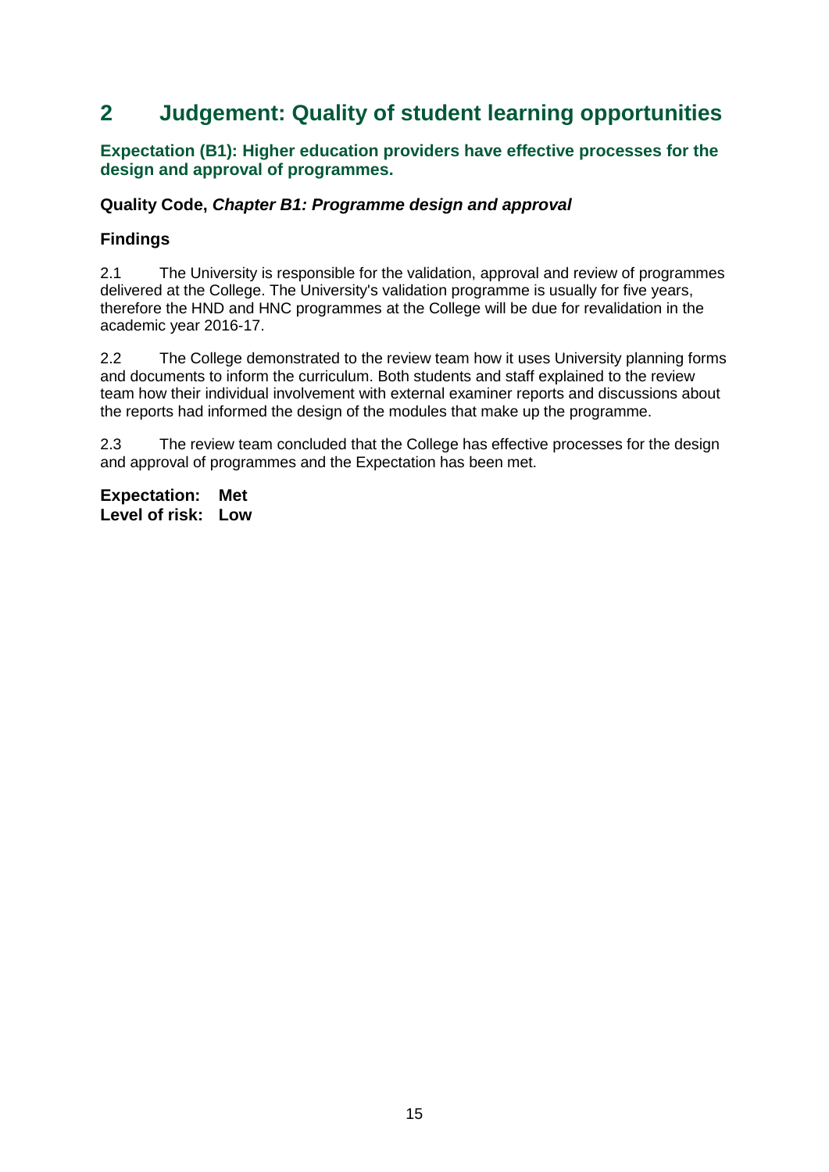## <span id="page-15-0"></span>**2 Judgement: Quality of student learning opportunities**

#### **Expectation (B1): Higher education providers have effective processes for the design and approval of programmes.**

#### **Quality Code,** *Chapter B1: Programme design and approval*

### **Findings**

2.1 The University is responsible for the validation, approval and review of programmes delivered at the College. The University's validation programme is usually for five years, therefore the HND and HNC programmes at the College will be due for revalidation in the academic year 2016-17.

2.2 The College demonstrated to the review team how it uses University planning forms and documents to inform the curriculum. Both students and staff explained to the review team how their individual involvement with external examiner reports and discussions about the reports had informed the design of the modules that make up the programme.

2.3 The review team concluded that the College has effective processes for the design and approval of programmes and the Expectation has been met.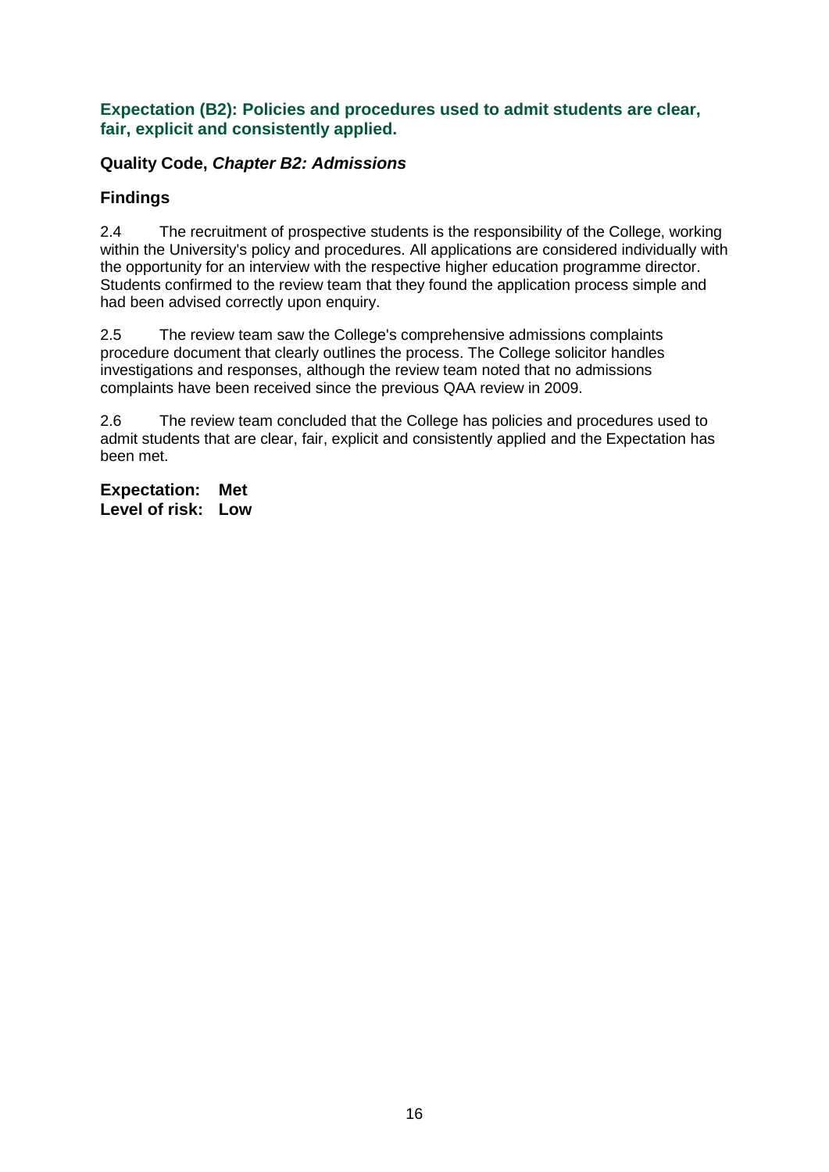#### **Expectation (B2): Policies and procedures used to admit students are clear, fair, explicit and consistently applied.**

### **Quality Code,** *Chapter B2: Admissions*

### **Findings**

2.4 The recruitment of prospective students is the responsibility of the College, working within the University's policy and procedures. All applications are considered individually with the opportunity for an interview with the respective higher education programme director. Students confirmed to the review team that they found the application process simple and had been advised correctly upon enquiry.

2.5 The review team saw the College's comprehensive admissions complaints procedure document that clearly outlines the process. The College solicitor handles investigations and responses, although the review team noted that no admissions complaints have been received since the previous QAA review in 2009.

2.6 The review team concluded that the College has policies and procedures used to admit students that are clear, fair, explicit and consistently applied and the Expectation has been met.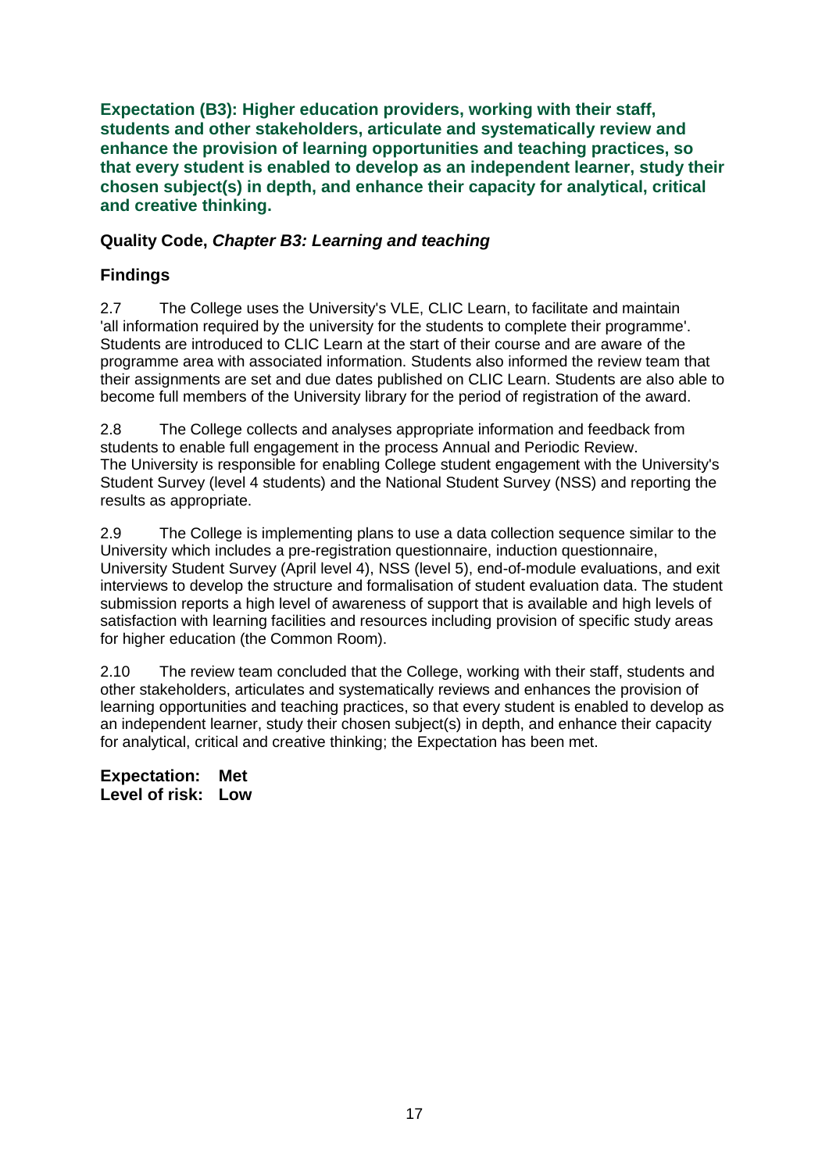**Expectation (B3): Higher education providers, working with their staff, students and other stakeholders, articulate and systematically review and enhance the provision of learning opportunities and teaching practices, so that every student is enabled to develop as an independent learner, study their chosen subject(s) in depth, and enhance their capacity for analytical, critical and creative thinking.**

### **Quality Code,** *Chapter B3: Learning and teaching*

## **Findings**

2.7 The College uses the University's VLE, CLIC Learn, to facilitate and maintain 'all information required by the university for the students to complete their programme'. Students are introduced to CLIC Learn at the start of their course and are aware of the programme area with associated information. Students also informed the review team that their assignments are set and due dates published on CLIC Learn. Students are also able to become full members of the University library for the period of registration of the award.

2.8 The College collects and analyses appropriate information and feedback from students to enable full engagement in the process Annual and Periodic Review. The University is responsible for enabling College student engagement with the University's Student Survey (level 4 students) and the National Student Survey (NSS) and reporting the results as appropriate.

2.9 The College is implementing plans to use a data collection sequence similar to the University which includes a pre-registration questionnaire, induction questionnaire, University Student Survey (April level 4), NSS (level 5), end-of-module evaluations, and exit interviews to develop the structure and formalisation of student evaluation data. The student submission reports a high level of awareness of support that is available and high levels of satisfaction with learning facilities and resources including provision of specific study areas for higher education (the Common Room).

2.10 The review team concluded that the College, working with their staff, students and other stakeholders, articulates and systematically reviews and enhances the provision of learning opportunities and teaching practices, so that every student is enabled to develop as an independent learner, study their chosen subject(s) in depth, and enhance their capacity for analytical, critical and creative thinking; the Expectation has been met.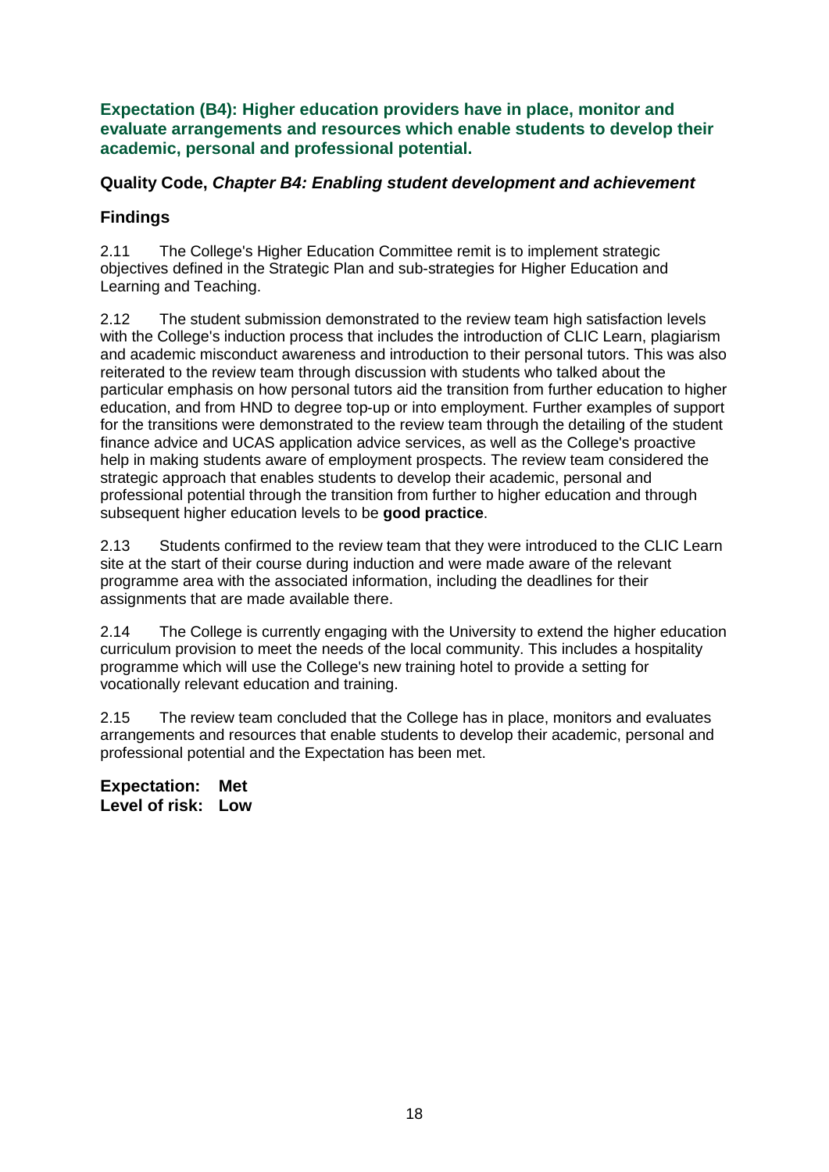**Expectation (B4): Higher education providers have in place, monitor and evaluate arrangements and resources which enable students to develop their academic, personal and professional potential.**

#### **Quality Code,** *Chapter B4: Enabling student development and achievement*

### **Findings**

2.11 The College's Higher Education Committee remit is to implement strategic objectives defined in the Strategic Plan and sub-strategies for Higher Education and Learning and Teaching.

2.12 The student submission demonstrated to the review team high satisfaction levels with the College's induction process that includes the introduction of CLIC Learn, plagiarism and academic misconduct awareness and introduction to their personal tutors. This was also reiterated to the review team through discussion with students who talked about the particular emphasis on how personal tutors aid the transition from further education to higher education, and from HND to degree top-up or into employment. Further examples of support for the transitions were demonstrated to the review team through the detailing of the student finance advice and UCAS application advice services, as well as the College's proactive help in making students aware of employment prospects. The review team considered the strategic approach that enables students to develop their academic, personal and professional potential through the transition from further to higher education and through subsequent higher education levels to be **good practice**.

2.13 Students confirmed to the review team that they were introduced to the CLIC Learn site at the start of their course during induction and were made aware of the relevant programme area with the associated information, including the deadlines for their assignments that are made available there.

2.14 The College is currently engaging with the University to extend the higher education curriculum provision to meet the needs of the local community. This includes a hospitality programme which will use the College's new training hotel to provide a setting for vocationally relevant education and training.

2.15 The review team concluded that the College has in place, monitors and evaluates arrangements and resources that enable students to develop their academic, personal and professional potential and the Expectation has been met.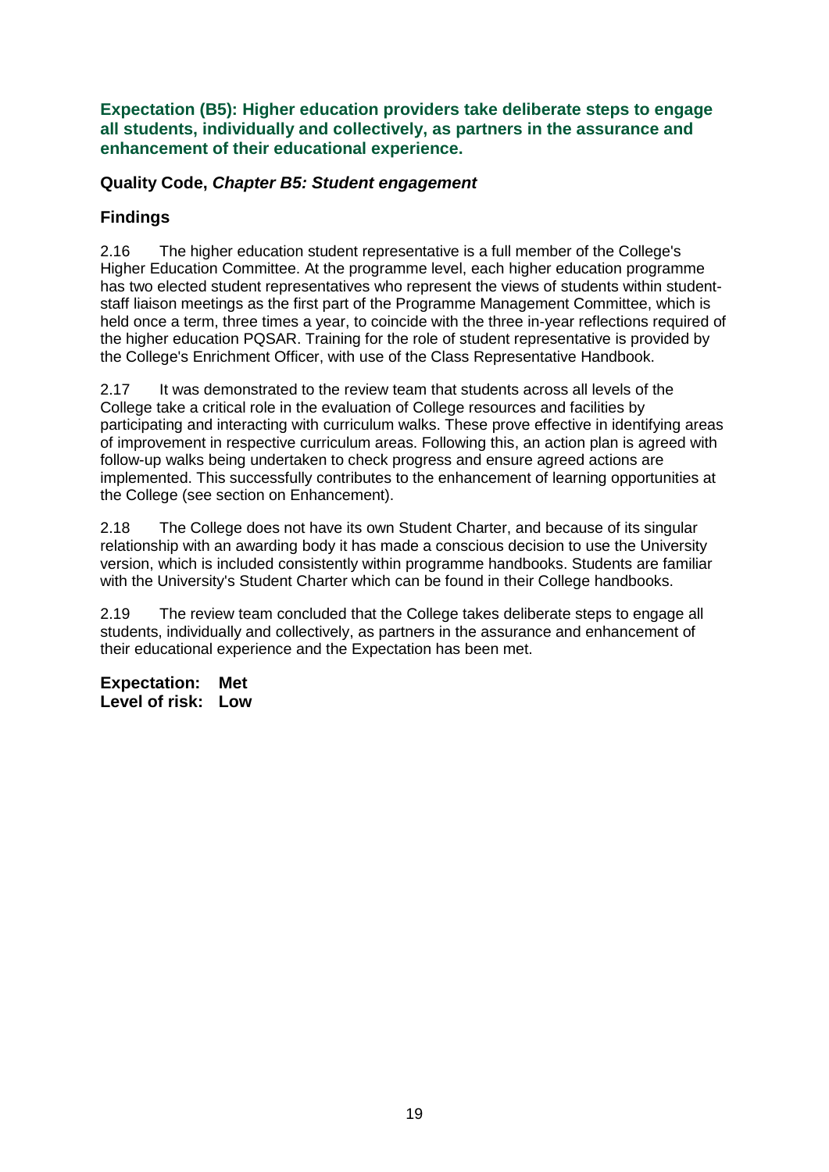**Expectation (B5): Higher education providers take deliberate steps to engage all students, individually and collectively, as partners in the assurance and enhancement of their educational experience.**

#### **Quality Code,** *Chapter B5: Student engagement*

## **Findings**

2.16 The higher education student representative is a full member of the College's Higher Education Committee. At the programme level, each higher education programme has two elected student representatives who represent the views of students within studentstaff liaison meetings as the first part of the Programme Management Committee, which is held once a term, three times a year, to coincide with the three in-year reflections required of the higher education PQSAR. Training for the role of student representative is provided by the College's Enrichment Officer, with use of the Class Representative Handbook.

2.17 It was demonstrated to the review team that students across all levels of the College take a critical role in the evaluation of College resources and facilities by participating and interacting with curriculum walks. These prove effective in identifying areas of improvement in respective curriculum areas. Following this, an action plan is agreed with follow-up walks being undertaken to check progress and ensure agreed actions are implemented. This successfully contributes to the enhancement of learning opportunities at the College (see section on Enhancement).

2.18 The College does not have its own Student Charter, and because of its singular relationship with an awarding body it has made a conscious decision to use the University version, which is included consistently within programme handbooks. Students are familiar with the University's Student Charter which can be found in their College handbooks.

2.19 The review team concluded that the College takes deliberate steps to engage all students, individually and collectively, as partners in the assurance and enhancement of their educational experience and the Expectation has been met.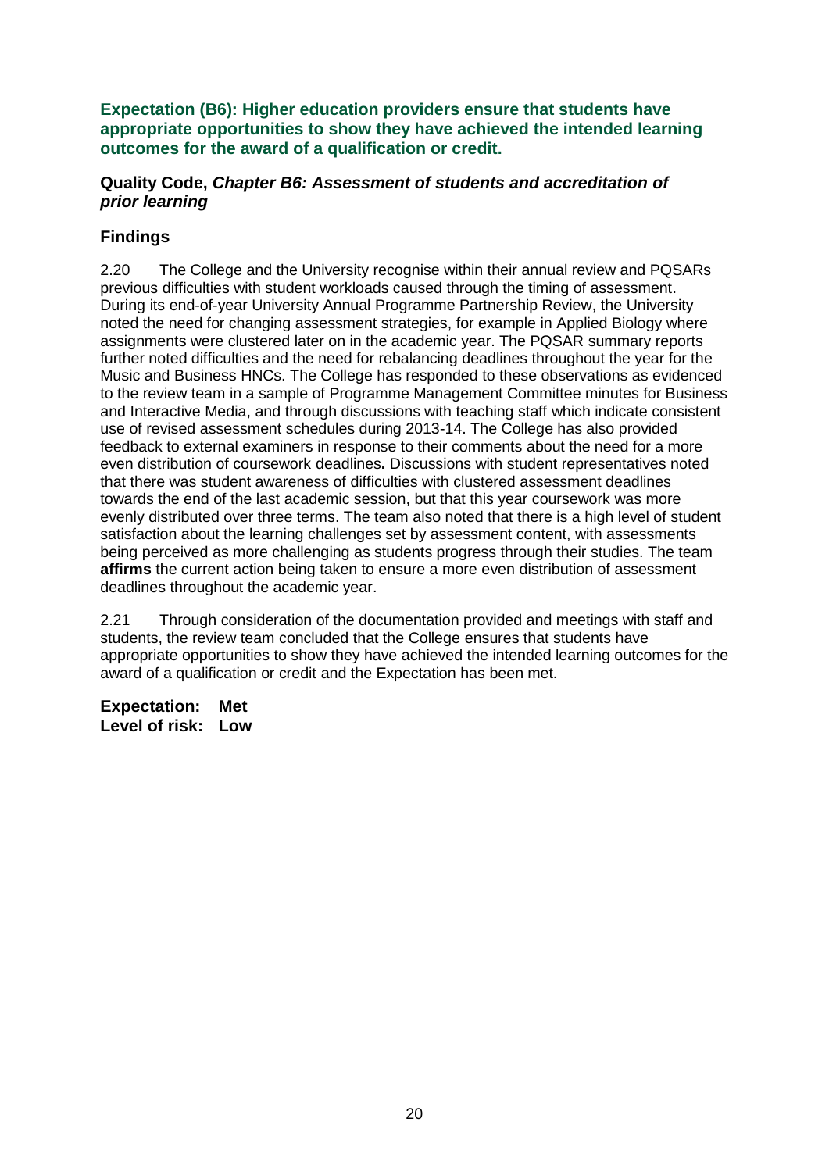**Expectation (B6): Higher education providers ensure that students have appropriate opportunities to show they have achieved the intended learning outcomes for the award of a qualification or credit.**

#### **Quality Code,** *Chapter B6: Assessment of students and accreditation of prior learning*

### **Findings**

2.20 The College and the University recognise within their annual review and PQSARs previous difficulties with student workloads caused through the timing of assessment. During its end-of-year University Annual Programme Partnership Review, the University noted the need for changing assessment strategies, for example in Applied Biology where assignments were clustered later on in the academic year. The PQSAR summary reports further noted difficulties and the need for rebalancing deadlines throughout the year for the Music and Business HNCs. The College has responded to these observations as evidenced to the review team in a sample of Programme Management Committee minutes for Business and Interactive Media, and through discussions with teaching staff which indicate consistent use of revised assessment schedules during 2013-14. The College has also provided feedback to external examiners in response to their comments about the need for a more even distribution of coursework deadlines**.** Discussions with student representatives noted that there was student awareness of difficulties with clustered assessment deadlines towards the end of the last academic session, but that this year coursework was more evenly distributed over three terms. The team also noted that there is a high level of student satisfaction about the learning challenges set by assessment content, with assessments being perceived as more challenging as students progress through their studies. The team **affirms** the current action being taken to ensure a more even distribution of assessment deadlines throughout the academic year.

2.21 Through consideration of the documentation provided and meetings with staff and students, the review team concluded that the College ensures that students have appropriate opportunities to show they have achieved the intended learning outcomes for the award of a qualification or credit and the Expectation has been met.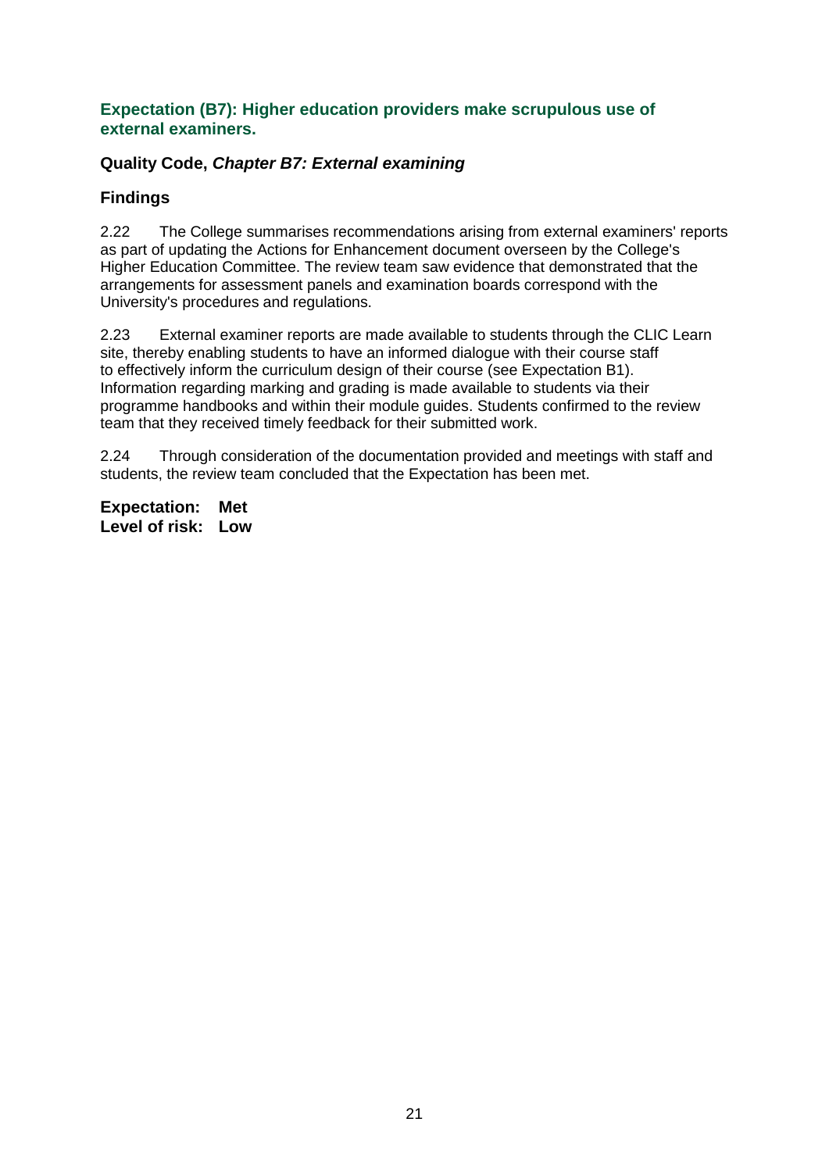#### **Expectation (B7): Higher education providers make scrupulous use of external examiners.**

### **Quality Code,** *Chapter B7: External examining*

### **Findings**

2.22 The College summarises recommendations arising from external examiners' reports as part of updating the Actions for Enhancement document overseen by the College's Higher Education Committee. The review team saw evidence that demonstrated that the arrangements for assessment panels and examination boards correspond with the University's procedures and regulations.

2.23 External examiner reports are made available to students through the CLIC Learn site, thereby enabling students to have an informed dialogue with their course staff to effectively inform the curriculum design of their course (see Expectation B1). Information regarding marking and grading is made available to students via their programme handbooks and within their module guides. Students confirmed to the review team that they received timely feedback for their submitted work.

2.24 Through consideration of the documentation provided and meetings with staff and students, the review team concluded that the Expectation has been met.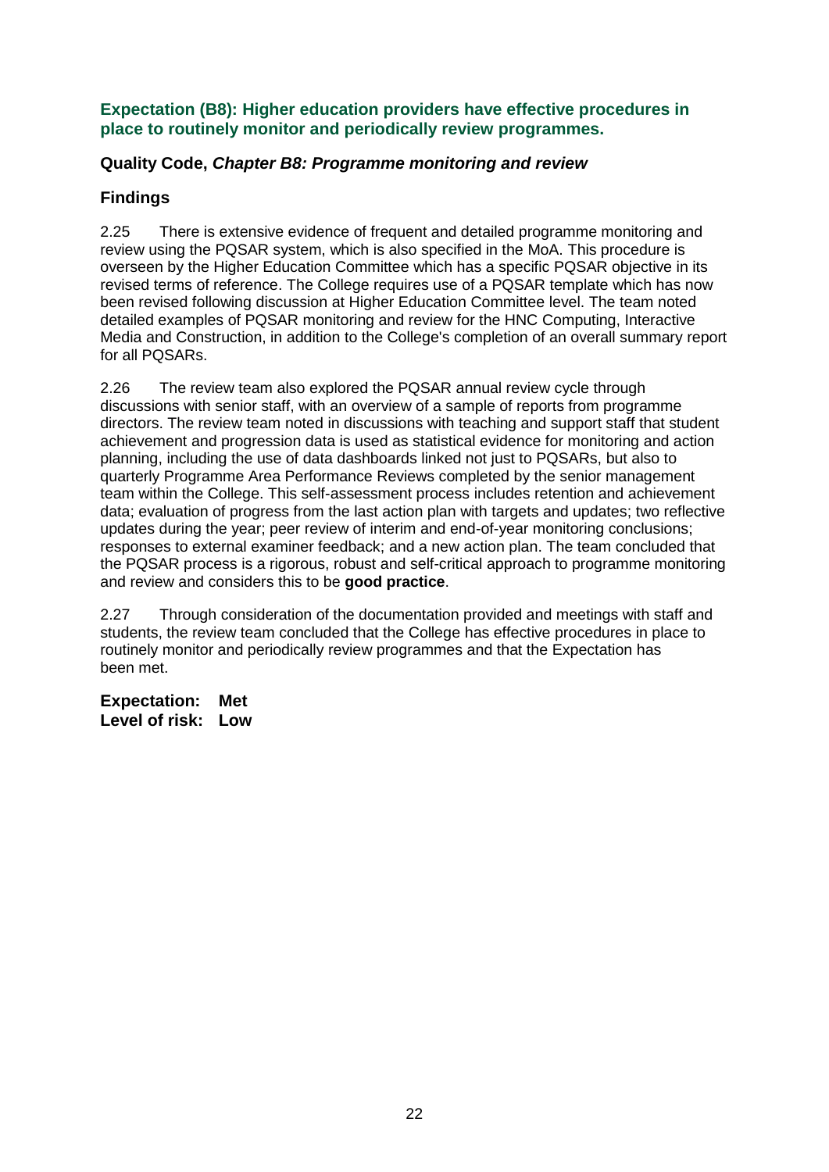#### **Expectation (B8): Higher education providers have effective procedures in place to routinely monitor and periodically review programmes.**

### **Quality Code,** *Chapter B8: Programme monitoring and review*

## **Findings**

2.25 There is extensive evidence of frequent and detailed programme monitoring and review using the PQSAR system, which is also specified in the MoA. This procedure is overseen by the Higher Education Committee which has a specific PQSAR objective in its revised terms of reference. The College requires use of a PQSAR template which has now been revised following discussion at Higher Education Committee level. The team noted detailed examples of PQSAR monitoring and review for the HNC Computing, Interactive Media and Construction, in addition to the College's completion of an overall summary report for all PQSARs.

2.26 The review team also explored the PQSAR annual review cycle through discussions with senior staff, with an overview of a sample of reports from programme directors. The review team noted in discussions with teaching and support staff that student achievement and progression data is used as statistical evidence for monitoring and action planning, including the use of data dashboards linked not just to PQSARs, but also to quarterly Programme Area Performance Reviews completed by the senior management team within the College. This self-assessment process includes retention and achievement data; evaluation of progress from the last action plan with targets and updates; two reflective updates during the year; peer review of interim and end-of-year monitoring conclusions; responses to external examiner feedback; and a new action plan. The team concluded that the PQSAR process is a rigorous, robust and self-critical approach to programme monitoring and review and considers this to be **good practice**.

2.27 Through consideration of the documentation provided and meetings with staff and students, the review team concluded that the College has effective procedures in place to routinely monitor and periodically review programmes and that the Expectation has been met.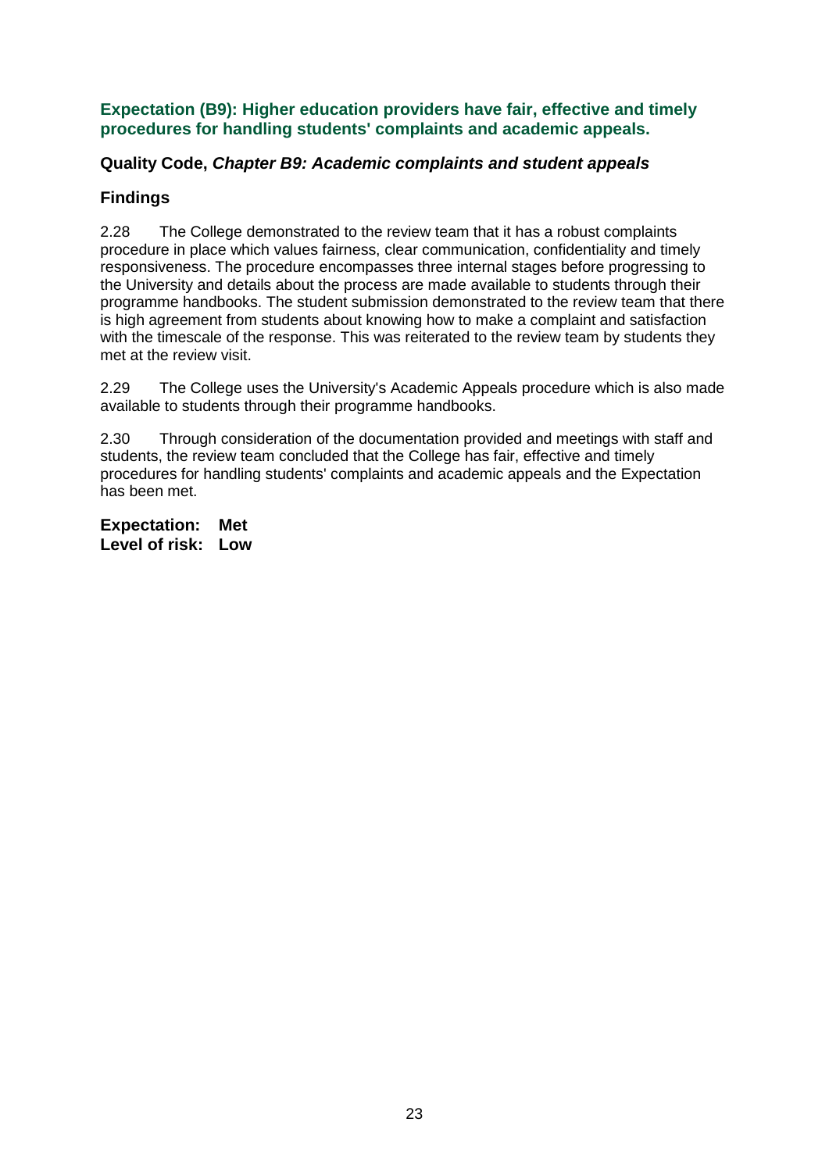**Expectation (B9): Higher education providers have fair, effective and timely procedures for handling students' complaints and academic appeals.**

#### **Quality Code,** *Chapter B9: Academic complaints and student appeals*

### **Findings**

2.28 The College demonstrated to the review team that it has a robust complaints procedure in place which values fairness, clear communication, confidentiality and timely responsiveness. The procedure encompasses three internal stages before progressing to the University and details about the process are made available to students through their programme handbooks. The student submission demonstrated to the review team that there is high agreement from students about knowing how to make a complaint and satisfaction with the timescale of the response. This was reiterated to the review team by students they met at the review visit.

2.29 The College uses the University's Academic Appeals procedure which is also made available to students through their programme handbooks.

2.30 Through consideration of the documentation provided and meetings with staff and students, the review team concluded that the College has fair, effective and timely procedures for handling students' complaints and academic appeals and the Expectation has been met.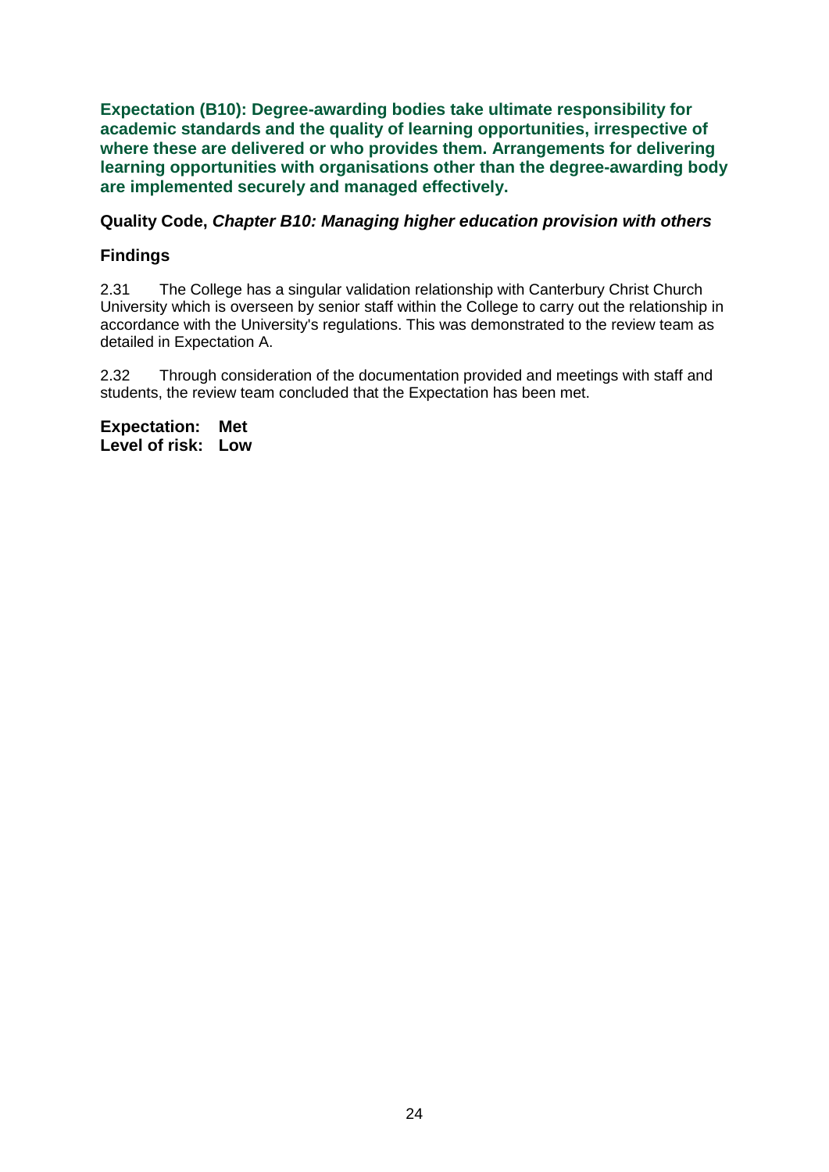**Expectation (B10): Degree-awarding bodies take ultimate responsibility for academic standards and the quality of learning opportunities, irrespective of where these are delivered or who provides them. Arrangements for delivering learning opportunities with organisations other than the degree-awarding body are implemented securely and managed effectively.**

#### **Quality Code,** *Chapter B10: Managing higher education provision with others*

#### **Findings**

2.31 The College has a singular validation relationship with Canterbury Christ Church University which is overseen by senior staff within the College to carry out the relationship in accordance with the University's regulations. This was demonstrated to the review team as detailed in Expectation A.

2.32 Through consideration of the documentation provided and meetings with staff and students, the review team concluded that the Expectation has been met.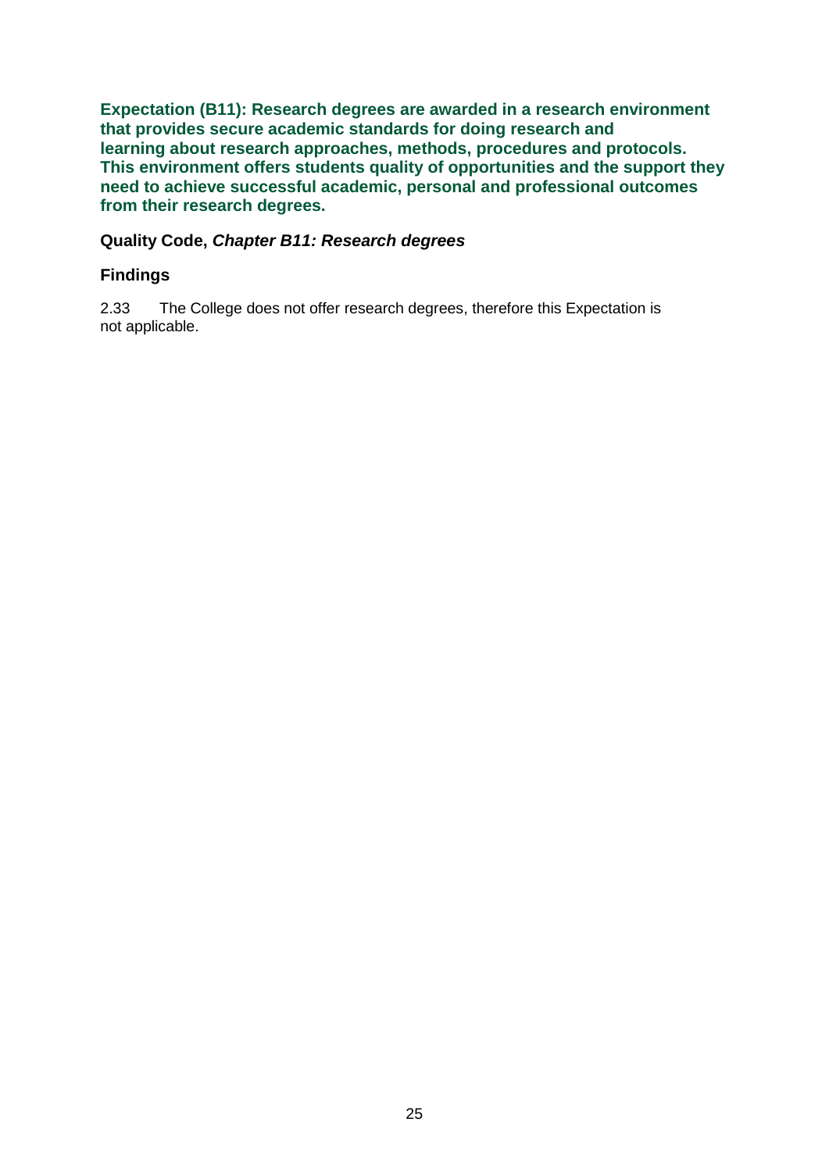**Expectation (B11): Research degrees are awarded in a research environment that provides secure academic standards for doing research and learning about research approaches, methods, procedures and protocols. This environment offers students quality of opportunities and the support they need to achieve successful academic, personal and professional outcomes from their research degrees.**

#### **Quality Code,** *Chapter B11: Research degrees*

#### **Findings**

2.33 The College does not offer research degrees, therefore this Expectation is not applicable.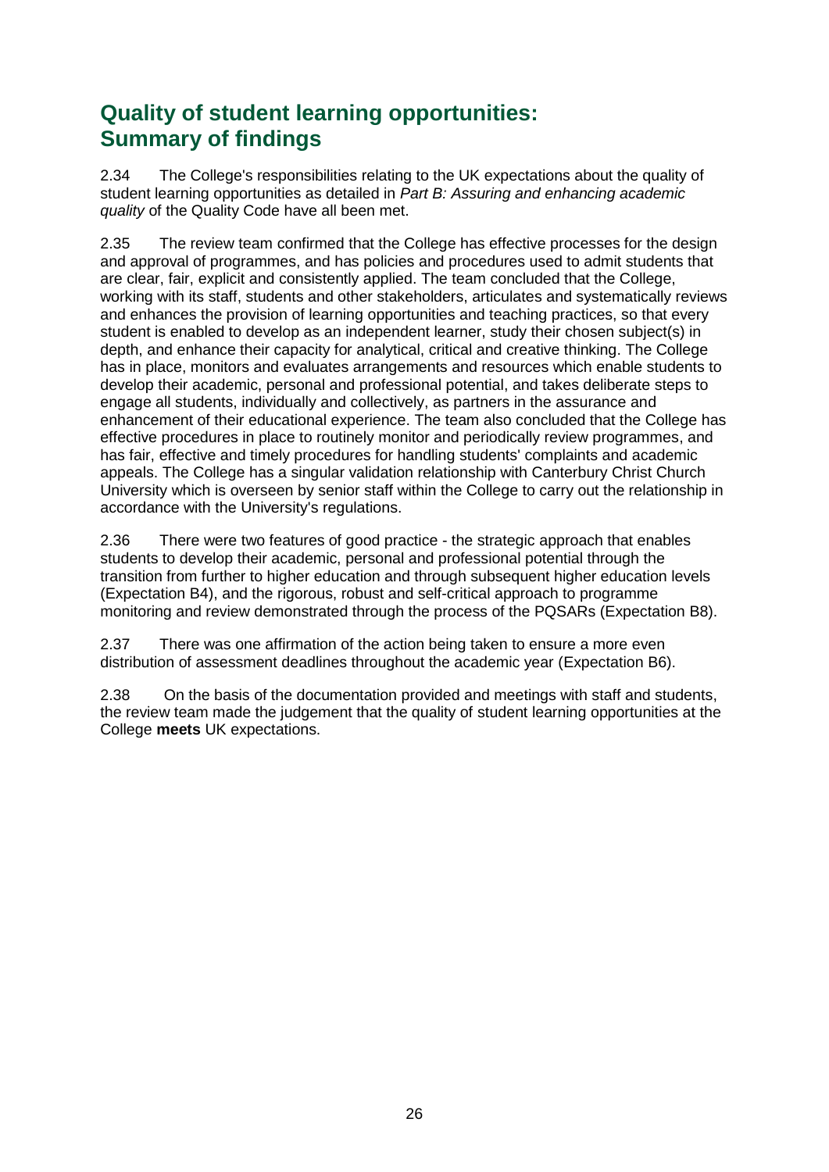## **Quality of student learning opportunities: Summary of findings**

2.34 The College's responsibilities relating to the UK expectations about the quality of student learning opportunities as detailed in *Part B: Assuring and enhancing academic quality* of the Quality Code have all been met.

2.35 The review team confirmed that the College has effective processes for the design and approval of programmes, and has policies and procedures used to admit students that are clear, fair, explicit and consistently applied. The team concluded that the College, working with its staff, students and other stakeholders, articulates and systematically reviews and enhances the provision of learning opportunities and teaching practices, so that every student is enabled to develop as an independent learner, study their chosen subject(s) in depth, and enhance their capacity for analytical, critical and creative thinking. The College has in place, monitors and evaluates arrangements and resources which enable students to develop their academic, personal and professional potential, and takes deliberate steps to engage all students, individually and collectively, as partners in the assurance and enhancement of their educational experience. The team also concluded that the College has effective procedures in place to routinely monitor and periodically review programmes, and has fair, effective and timely procedures for handling students' complaints and academic appeals. The College has a singular validation relationship with Canterbury Christ Church University which is overseen by senior staff within the College to carry out the relationship in accordance with the University's regulations.

2.36 There were two features of good practice - the strategic approach that enables students to develop their academic, personal and professional potential through the transition from further to higher education and through subsequent higher education levels (Expectation B4), and the rigorous, robust and self-critical approach to programme monitoring and review demonstrated through the process of the PQSARs (Expectation B8).

2.37 There was one affirmation of the action being taken to ensure a more even distribution of assessment deadlines throughout the academic year (Expectation B6).

2.38 On the basis of the documentation provided and meetings with staff and students, the review team made the judgement that the quality of student learning opportunities at the College **meets** UK expectations.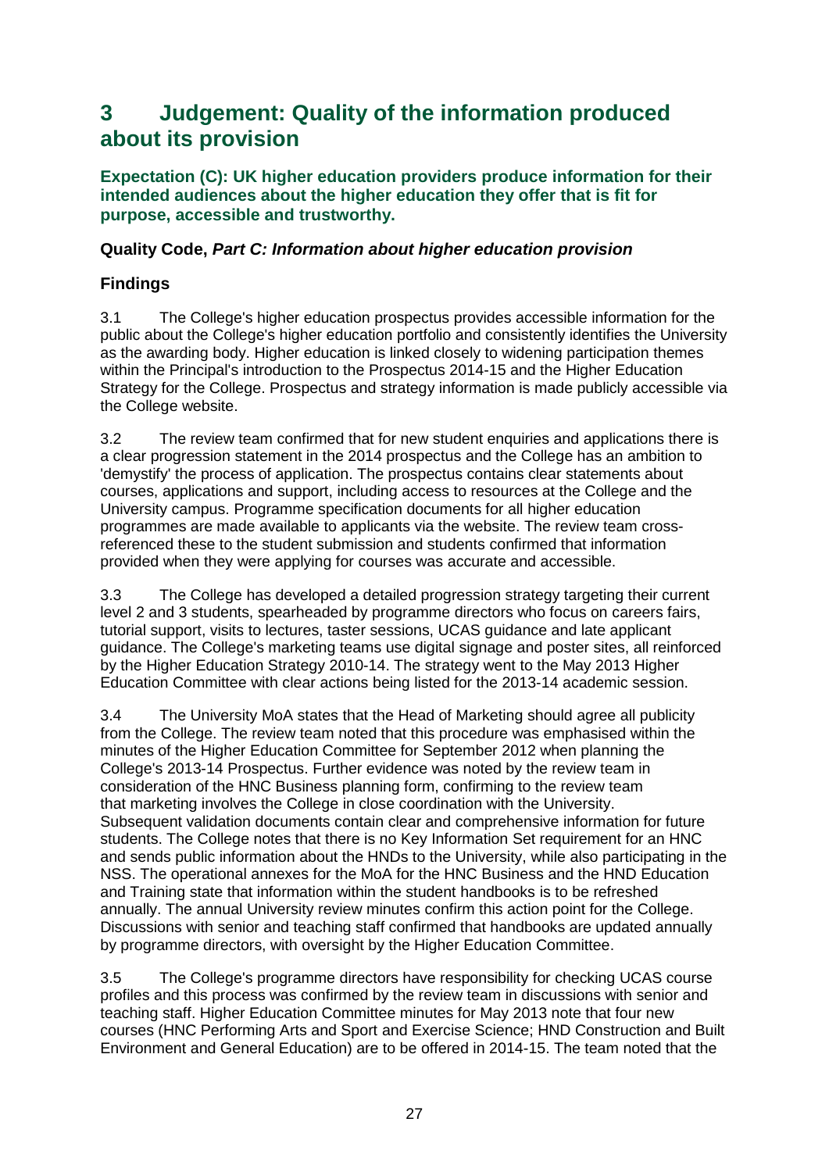## <span id="page-27-0"></span>**3 Judgement: Quality of the information produced about its provision**

**Expectation (C): UK higher education providers produce information for their intended audiences about the higher education they offer that is fit for purpose, accessible and trustworthy.**

#### **Quality Code,** *Part C: Information about higher education provision*

## **Findings**

3.1 The College's higher education prospectus provides accessible information for the public about the College's higher education portfolio and consistently identifies the University as the awarding body. Higher education is linked closely to widening participation themes within the Principal's introduction to the Prospectus 2014-15 and the Higher Education Strategy for the College. Prospectus and strategy information is made publicly accessible via the College website.

3.2 The review team confirmed that for new student enquiries and applications there is a clear progression statement in the 2014 prospectus and the College has an ambition to 'demystify' the process of application. The prospectus contains clear statements about courses, applications and support, including access to resources at the College and the University campus. Programme specification documents for all higher education programmes are made available to applicants via the website. The review team crossreferenced these to the student submission and students confirmed that information provided when they were applying for courses was accurate and accessible.

3.3 The College has developed a detailed progression strategy targeting their current level 2 and 3 students, spearheaded by programme directors who focus on careers fairs, tutorial support, visits to lectures, taster sessions, UCAS guidance and late applicant guidance. The College's marketing teams use digital signage and poster sites, all reinforced by the Higher Education Strategy 2010-14. The strategy went to the May 2013 Higher Education Committee with clear actions being listed for the 2013-14 academic session.

3.4 The University MoA states that the Head of Marketing should agree all publicity from the College. The review team noted that this procedure was emphasised within the minutes of the Higher Education Committee for September 2012 when planning the College's 2013-14 Prospectus. Further evidence was noted by the review team in consideration of the HNC Business planning form, confirming to the review team that marketing involves the College in close coordination with the University. Subsequent validation documents contain clear and comprehensive information for future students. The College notes that there is no Key Information Set requirement for an HNC and sends public information about the HNDs to the University, while also participating in the NSS. The operational annexes for the MoA for the HNC Business and the HND Education and Training state that information within the student handbooks is to be refreshed annually. The annual University review minutes confirm this action point for the College. Discussions with senior and teaching staff confirmed that handbooks are updated annually by programme directors, with oversight by the Higher Education Committee.

3.5 The College's programme directors have responsibility for checking UCAS course profiles and this process was confirmed by the review team in discussions with senior and teaching staff. Higher Education Committee minutes for May 2013 note that four new courses (HNC Performing Arts and Sport and Exercise Science; HND Construction and Built Environment and General Education) are to be offered in 2014-15. The team noted that the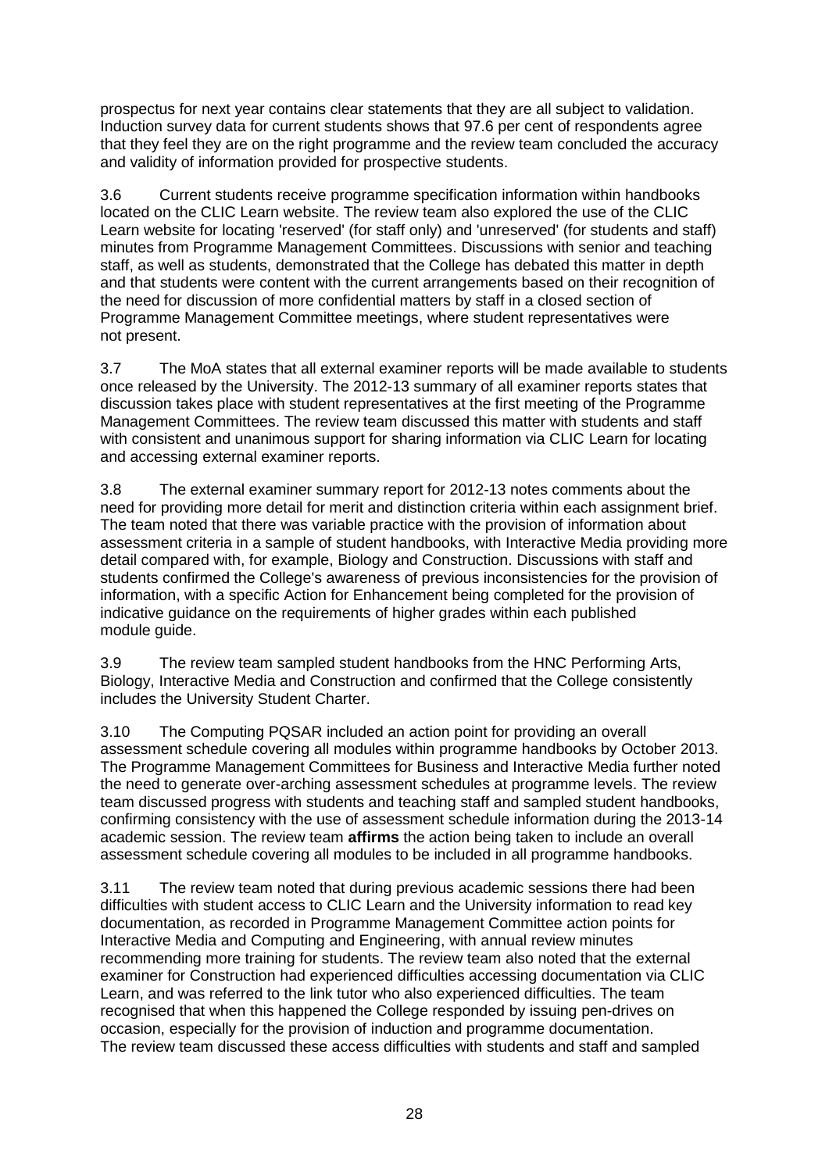prospectus for next year contains clear statements that they are all subject to validation. Induction survey data for current students shows that 97.6 per cent of respondents agree that they feel they are on the right programme and the review team concluded the accuracy and validity of information provided for prospective students.

3.6 Current students receive programme specification information within handbooks located on the CLIC Learn website. The review team also explored the use of the CLIC Learn website for locating 'reserved' (for staff only) and 'unreserved' (for students and staff) minutes from Programme Management Committees. Discussions with senior and teaching staff, as well as students, demonstrated that the College has debated this matter in depth and that students were content with the current arrangements based on their recognition of the need for discussion of more confidential matters by staff in a closed section of Programme Management Committee meetings, where student representatives were not present.

3.7 The MoA states that all external examiner reports will be made available to students once released by the University. The 2012-13 summary of all examiner reports states that discussion takes place with student representatives at the first meeting of the Programme Management Committees. The review team discussed this matter with students and staff with consistent and unanimous support for sharing information via CLIC Learn for locating and accessing external examiner reports.

3.8 The external examiner summary report for 2012-13 notes comments about the need for providing more detail for merit and distinction criteria within each assignment brief. The team noted that there was variable practice with the provision of information about assessment criteria in a sample of student handbooks, with Interactive Media providing more detail compared with, for example, Biology and Construction. Discussions with staff and students confirmed the College's awareness of previous inconsistencies for the provision of information, with a specific Action for Enhancement being completed for the provision of indicative guidance on the requirements of higher grades within each published module guide.

3.9 The review team sampled student handbooks from the HNC Performing Arts, Biology, Interactive Media and Construction and confirmed that the College consistently includes the University Student Charter.

3.10 The Computing PQSAR included an action point for providing an overall assessment schedule covering all modules within programme handbooks by October 2013. The Programme Management Committees for Business and Interactive Media further noted the need to generate over-arching assessment schedules at programme levels. The review team discussed progress with students and teaching staff and sampled student handbooks, confirming consistency with the use of assessment schedule information during the 2013-14 academic session. The review team **affirms** the action being taken to include an overall assessment schedule covering all modules to be included in all programme handbooks.

3.11 The review team noted that during previous academic sessions there had been difficulties with student access to CLIC Learn and the University information to read key documentation, as recorded in Programme Management Committee action points for Interactive Media and Computing and Engineering, with annual review minutes recommending more training for students. The review team also noted that the external examiner for Construction had experienced difficulties accessing documentation via CLIC Learn, and was referred to the link tutor who also experienced difficulties. The team recognised that when this happened the College responded by issuing pen-drives on occasion, especially for the provision of induction and programme documentation. The review team discussed these access difficulties with students and staff and sampled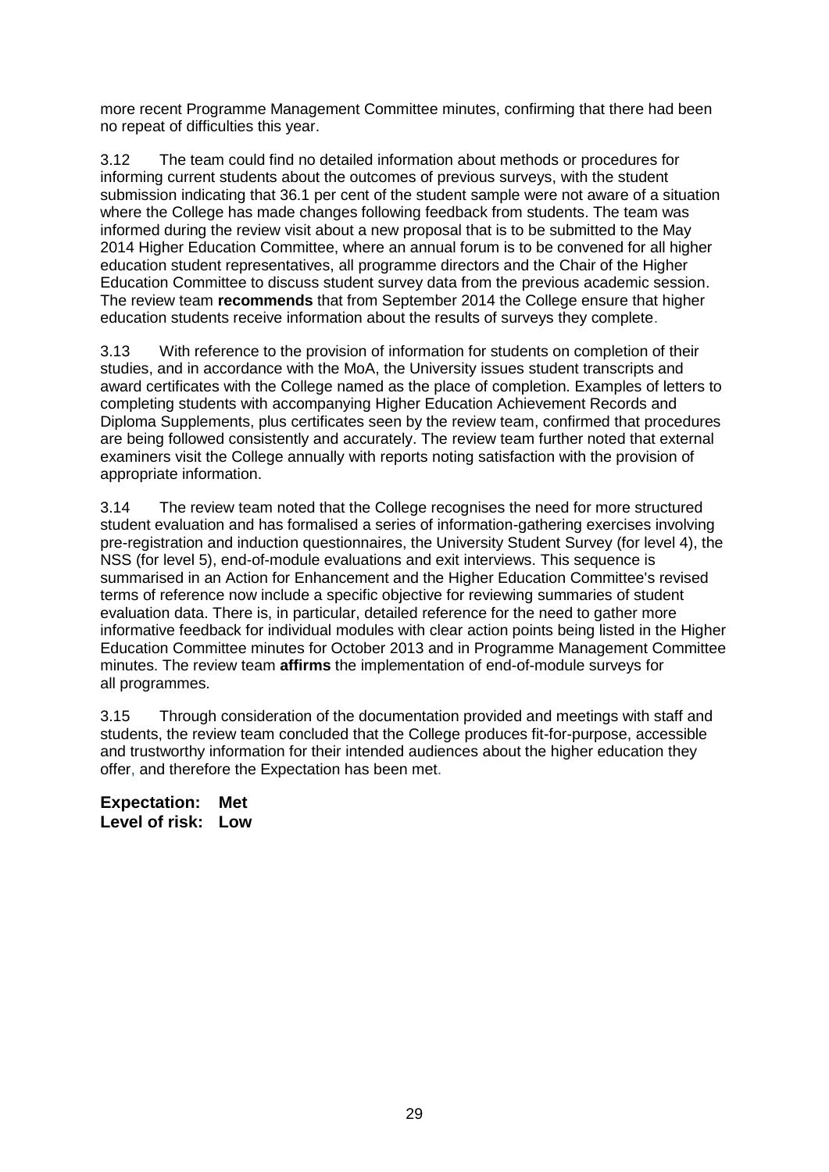more recent Programme Management Committee minutes, confirming that there had been no repeat of difficulties this year.

3.12 The team could find no detailed information about methods or procedures for informing current students about the outcomes of previous surveys, with the student submission indicating that 36.1 per cent of the student sample were not aware of a situation where the College has made changes following feedback from students. The team was informed during the review visit about a new proposal that is to be submitted to the May 2014 Higher Education Committee, where an annual forum is to be convened for all higher education student representatives, all programme directors and the Chair of the Higher Education Committee to discuss student survey data from the previous academic session. The review team **recommends** that from September 2014 the College ensure that higher education students receive information about the results of surveys they complete.

3.13 With reference to the provision of information for students on completion of their studies, and in accordance with the MoA, the University issues student transcripts and award certificates with the College named as the place of completion. Examples of letters to completing students with accompanying Higher Education Achievement Records and Diploma Supplements, plus certificates seen by the review team, confirmed that procedures are being followed consistently and accurately. The review team further noted that external examiners visit the College annually with reports noting satisfaction with the provision of appropriate information.

3.14 The review team noted that the College recognises the need for more structured student evaluation and has formalised a series of information-gathering exercises involving pre-registration and induction questionnaires, the University Student Survey (for level 4), the NSS (for level 5), end-of-module evaluations and exit interviews. This sequence is summarised in an Action for Enhancement and the Higher Education Committee's revised terms of reference now include a specific objective for reviewing summaries of student evaluation data. There is, in particular, detailed reference for the need to gather more informative feedback for individual modules with clear action points being listed in the Higher Education Committee minutes for October 2013 and in Programme Management Committee minutes. The review team **affirms** the implementation of end-of-module surveys for all programmes.

3.15 Through consideration of the documentation provided and meetings with staff and students, the review team concluded that the College produces fit-for-purpose, accessible and trustworthy information for their intended audiences about the higher education they offer, and therefore the Expectation has been met.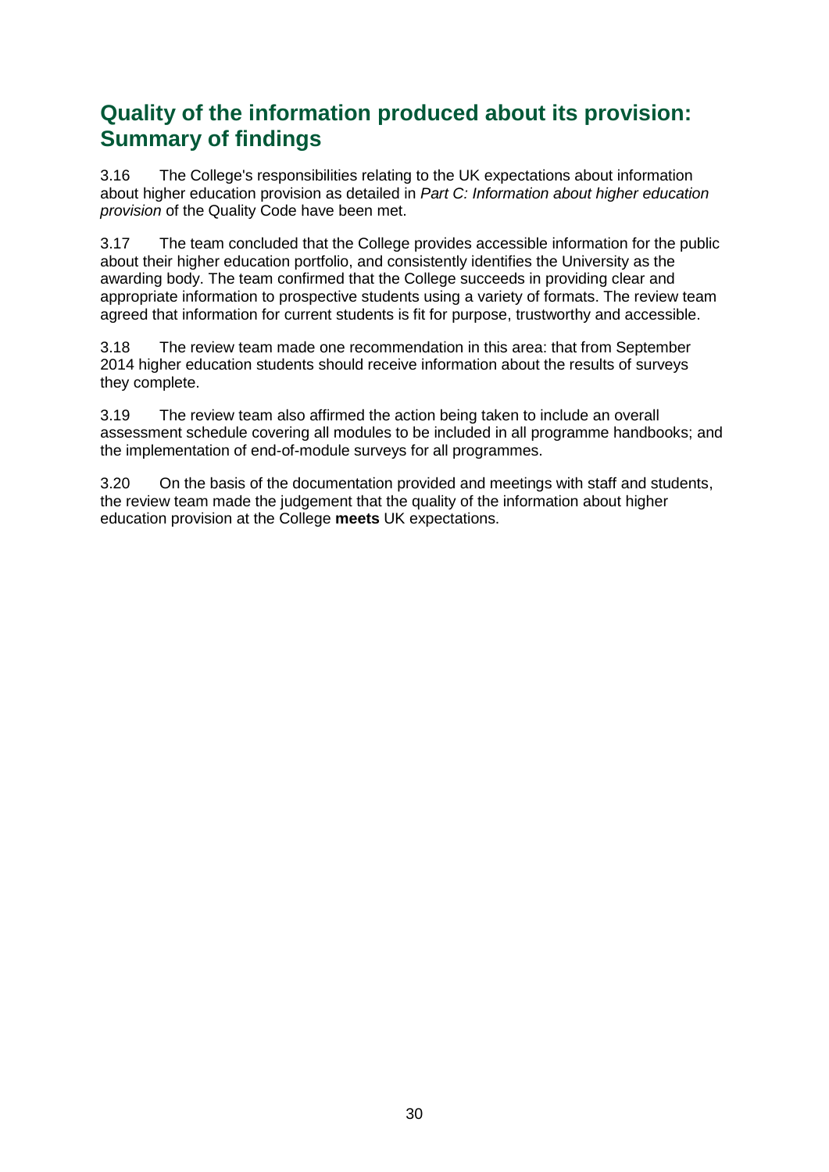## **Quality of the information produced about its provision: Summary of findings**

3.16 The College's responsibilities relating to the UK expectations about information about higher education provision as detailed in *Part C: Information about higher education provision* of the Quality Code have been met.

3.17 The team concluded that the College provides accessible information for the public about their higher education portfolio, and consistently identifies the University as the awarding body. The team confirmed that the College succeeds in providing clear and appropriate information to prospective students using a variety of formats. The review team agreed that information for current students is fit for purpose, trustworthy and accessible.

3.18 The review team made one recommendation in this area: that from September 2014 higher education students should receive information about the results of surveys they complete.

3.19 The review team also affirmed the action being taken to include an overall assessment schedule covering all modules to be included in all programme handbooks; and the implementation of end-of-module surveys for all programmes.

3.20 On the basis of the documentation provided and meetings with staff and students, the review team made the judgement that the quality of the information about higher education provision at the College **meets** UK expectations.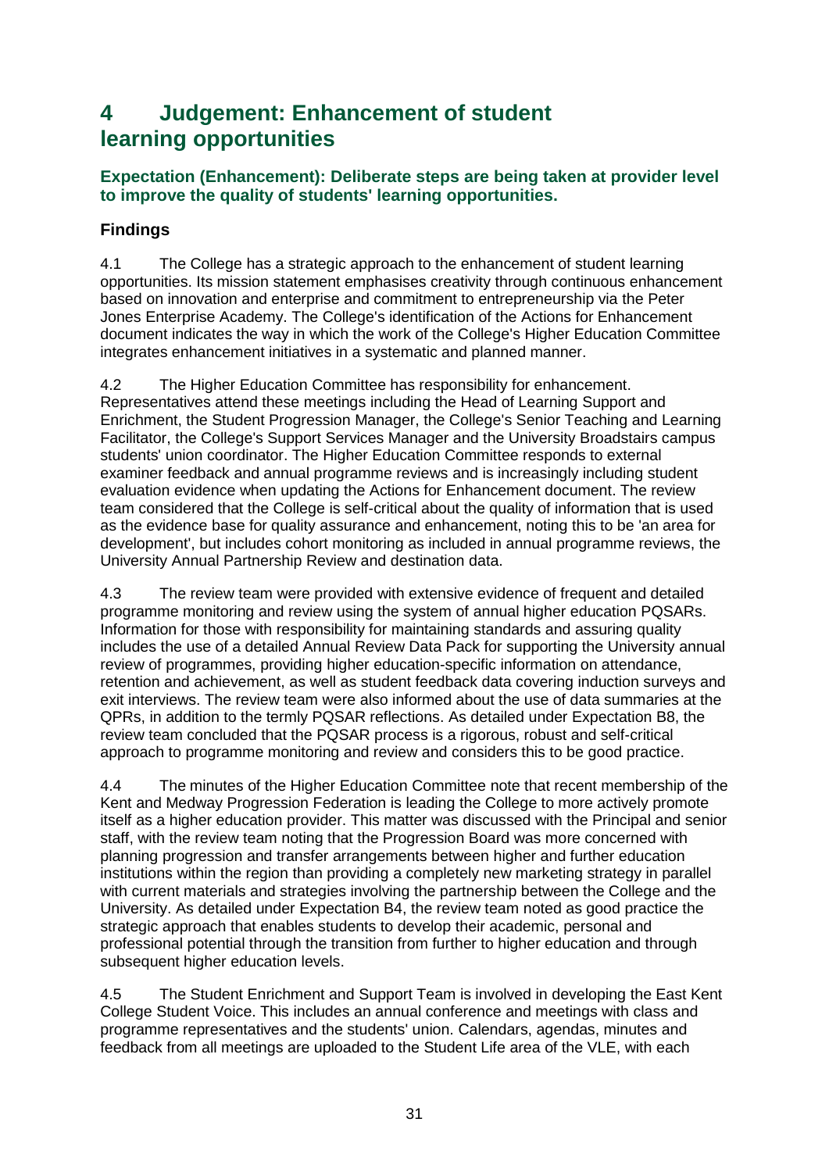## <span id="page-31-0"></span>**4 Judgement: Enhancement of student learning opportunities**

### **Expectation (Enhancement): Deliberate steps are being taken at provider level to improve the quality of students' learning opportunities.**

## **Findings**

4.1 The College has a strategic approach to the enhancement of student learning opportunities. Its mission statement emphasises creativity through continuous enhancement based on innovation and enterprise and commitment to entrepreneurship via the Peter Jones Enterprise Academy. The College's identification of the Actions for Enhancement document indicates the way in which the work of the College's Higher Education Committee integrates enhancement initiatives in a systematic and planned manner.

4.2 The Higher Education Committee has responsibility for enhancement. Representatives attend these meetings including the Head of Learning Support and Enrichment, the Student Progression Manager, the College's Senior Teaching and Learning Facilitator, the College's Support Services Manager and the University Broadstairs campus students' union coordinator. The Higher Education Committee responds to external examiner feedback and annual programme reviews and is increasingly including student evaluation evidence when updating the Actions for Enhancement document. The review team considered that the College is self-critical about the quality of information that is used as the evidence base for quality assurance and enhancement, noting this to be 'an area for development', but includes cohort monitoring as included in annual programme reviews, the University Annual Partnership Review and destination data.

4.3 The review team were provided with extensive evidence of frequent and detailed programme monitoring and review using the system of annual higher education PQSARs. Information for those with responsibility for maintaining standards and assuring quality includes the use of a detailed Annual Review Data Pack for supporting the University annual review of programmes, providing higher education-specific information on attendance, retention and achievement, as well as student feedback data covering induction surveys and exit interviews. The review team were also informed about the use of data summaries at the QPRs, in addition to the termly PQSAR reflections. As detailed under Expectation B8, the review team concluded that the PQSAR process is a rigorous, robust and self-critical approach to programme monitoring and review and considers this to be good practice.

4.4 The minutes of the Higher Education Committee note that recent membership of the Kent and Medway Progression Federation is leading the College to more actively promote itself as a higher education provider. This matter was discussed with the Principal and senior staff, with the review team noting that the Progression Board was more concerned with planning progression and transfer arrangements between higher and further education institutions within the region than providing a completely new marketing strategy in parallel with current materials and strategies involving the partnership between the College and the University. As detailed under Expectation B4, the review team noted as good practice the strategic approach that enables students to develop their academic, personal and professional potential through the transition from further to higher education and through subsequent higher education levels.

4.5 The Student Enrichment and Support Team is involved in developing the East Kent College Student Voice. This includes an annual conference and meetings with class and programme representatives and the students' union. Calendars, agendas, minutes and feedback from all meetings are uploaded to the Student Life area of the VLE, with each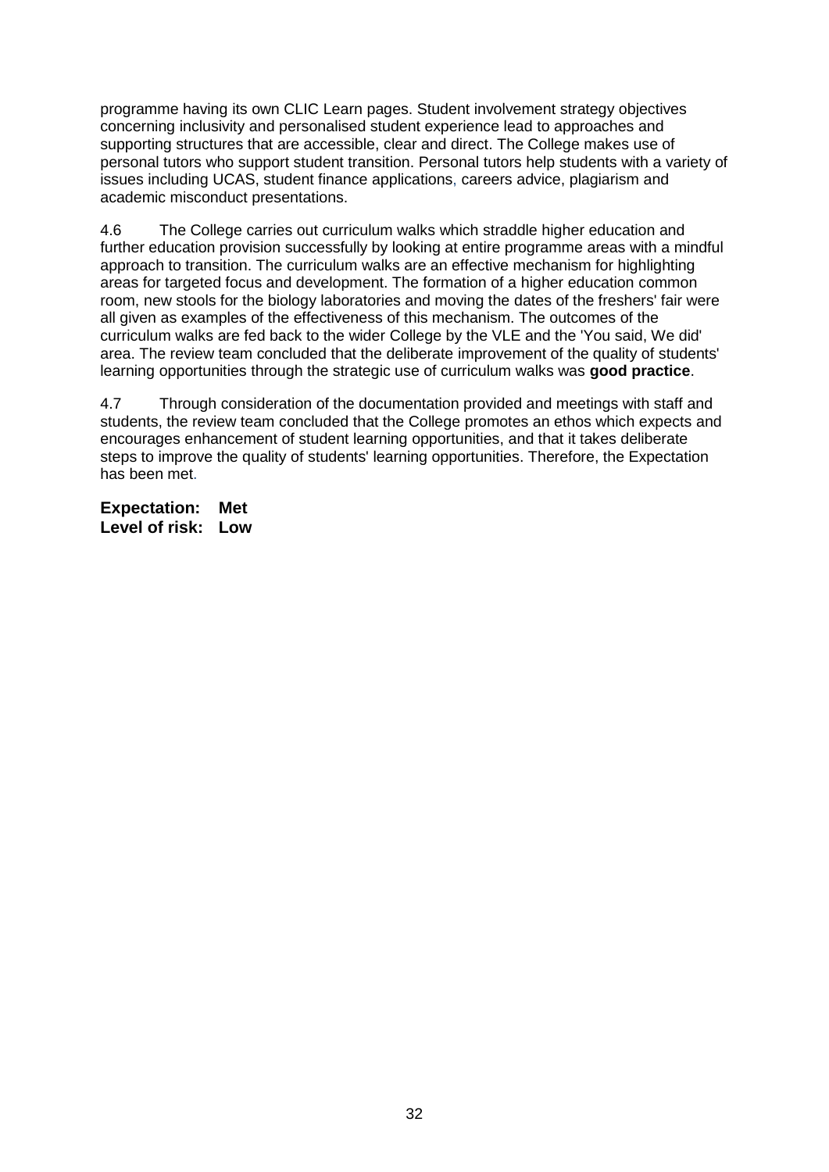programme having its own CLIC Learn pages. Student involvement strategy objectives concerning inclusivity and personalised student experience lead to approaches and supporting structures that are accessible, clear and direct. The College makes use of personal tutors who support student transition. Personal tutors help students with a variety of issues including UCAS, student finance applications, careers advice, plagiarism and academic misconduct presentations.

4.6 The College carries out curriculum walks which straddle higher education and further education provision successfully by looking at entire programme areas with a mindful approach to transition. The curriculum walks are an effective mechanism for highlighting areas for targeted focus and development. The formation of a higher education common room, new stools for the biology laboratories and moving the dates of the freshers' fair were all given as examples of the effectiveness of this mechanism. The outcomes of the curriculum walks are fed back to the wider College by the VLE and the 'You said, We did' area. The review team concluded that the deliberate improvement of the quality of students' learning opportunities through the strategic use of curriculum walks was **good practice**.

4.7 Through consideration of the documentation provided and meetings with staff and students, the review team concluded that the College promotes an ethos which expects and encourages enhancement of student learning opportunities, and that it takes deliberate steps to improve the quality of students' learning opportunities. Therefore, the Expectation has been met.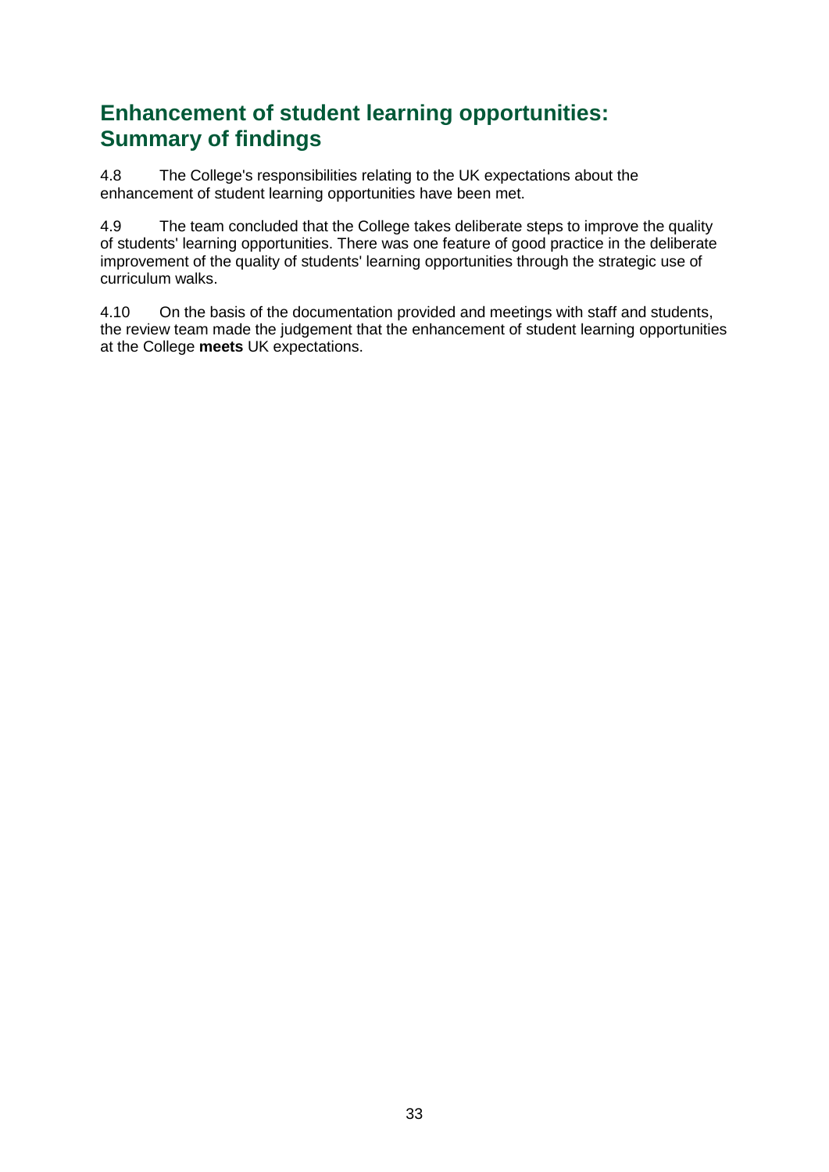## **Enhancement of student learning opportunities: Summary of findings**

4.8 The College's responsibilities relating to the UK expectations about the enhancement of student learning opportunities have been met.

4.9 The team concluded that the College takes deliberate steps to improve the quality of students' learning opportunities. There was one feature of good practice in the deliberate improvement of the quality of students' learning opportunities through the strategic use of curriculum walks.

4.10 On the basis of the documentation provided and meetings with staff and students, the review team made the judgement that the enhancement of student learning opportunities at the College **meets** UK expectations.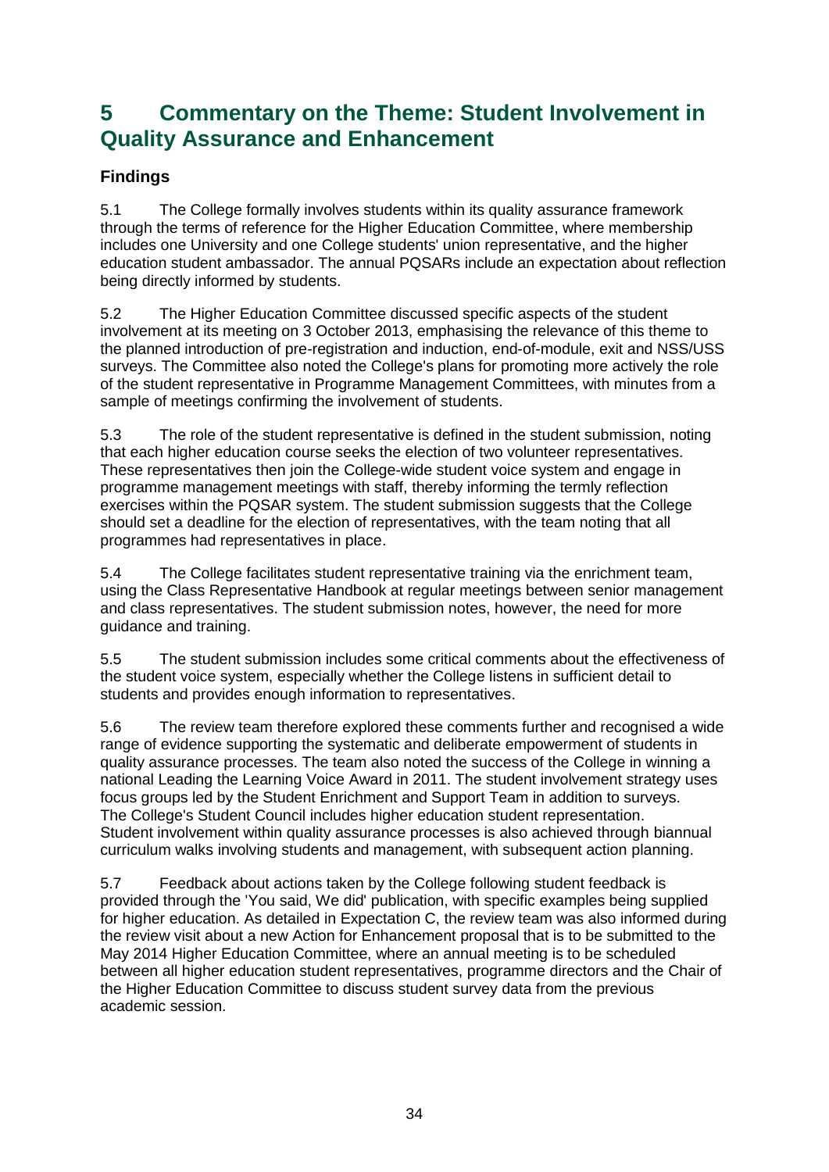## <span id="page-34-0"></span>**5 Commentary on the Theme: Student Involvement in Quality Assurance and Enhancement**

## **Findings**

5.1 The College formally involves students within its quality assurance framework through the terms of reference for the Higher Education Committee, where membership includes one University and one College students' union representative, and the higher education student ambassador. The annual PQSARs include an expectation about reflection being directly informed by students.

5.2 The Higher Education Committee discussed specific aspects of the student involvement at its meeting on 3 October 2013, emphasising the relevance of this theme to the planned introduction of pre-registration and induction, end-of-module, exit and NSS/USS surveys. The Committee also noted the College's plans for promoting more actively the role of the student representative in Programme Management Committees, with minutes from a sample of meetings confirming the involvement of students.

5.3 The role of the student representative is defined in the student submission, noting that each higher education course seeks the election of two volunteer representatives. These representatives then join the College-wide student voice system and engage in programme management meetings with staff, thereby informing the termly reflection exercises within the PQSAR system. The student submission suggests that the College should set a deadline for the election of representatives, with the team noting that all programmes had representatives in place.

5.4 The College facilitates student representative training via the enrichment team, using the Class Representative Handbook at regular meetings between senior management and class representatives. The student submission notes, however, the need for more guidance and training.

5.5 The student submission includes some critical comments about the effectiveness of the student voice system, especially whether the College listens in sufficient detail to students and provides enough information to representatives.

5.6 The review team therefore explored these comments further and recognised a wide range of evidence supporting the systematic and deliberate empowerment of students in quality assurance processes. The team also noted the success of the College in winning a national Leading the Learning Voice Award in 2011. The student involvement strategy uses focus groups led by the Student Enrichment and Support Team in addition to surveys. The College's Student Council includes higher education student representation. Student involvement within quality assurance processes is also achieved through biannual curriculum walks involving students and management, with subsequent action planning.

5.7 Feedback about actions taken by the College following student feedback is provided through the 'You said, We did' publication, with specific examples being supplied for higher education. As detailed in Expectation C, the review team was also informed during the review visit about a new Action for Enhancement proposal that is to be submitted to the May 2014 Higher Education Committee, where an annual meeting is to be scheduled between all higher education student representatives, programme directors and the Chair of the Higher Education Committee to discuss student survey data from the previous academic session.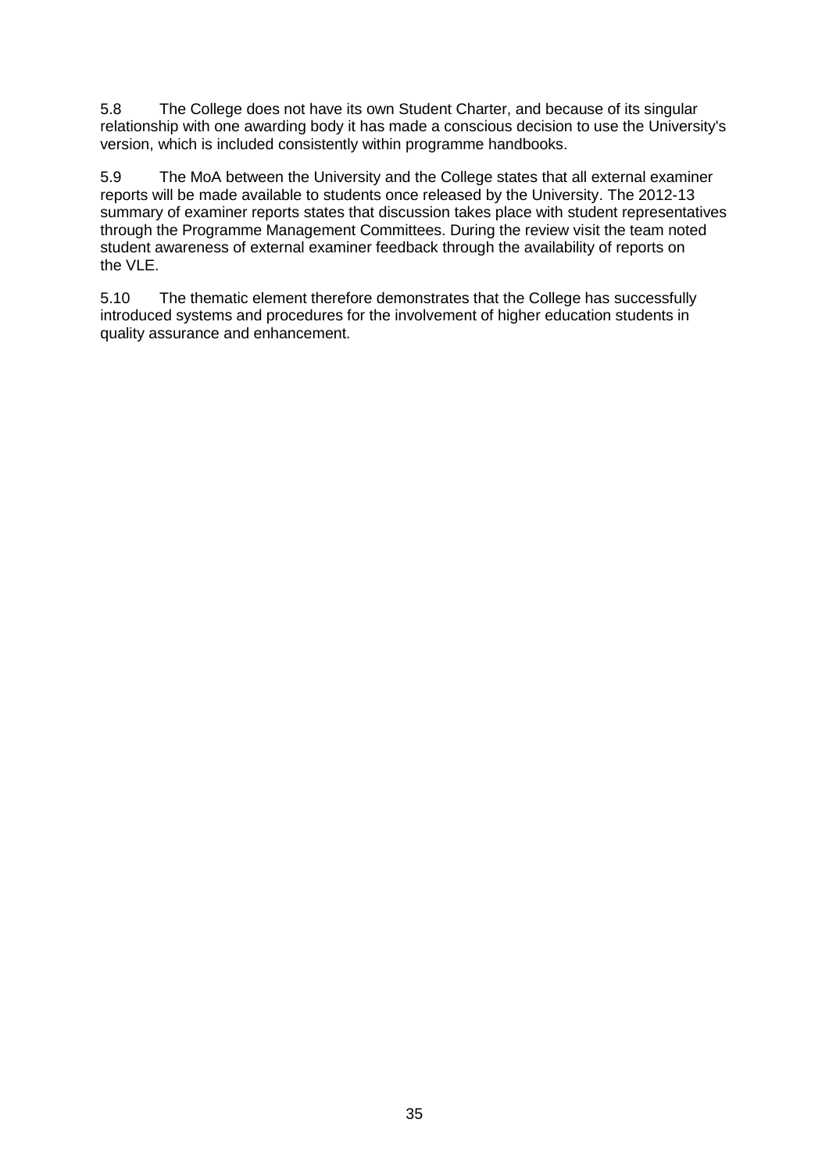5.8 The College does not have its own Student Charter, and because of its singular relationship with one awarding body it has made a conscious decision to use the University's version, which is included consistently within programme handbooks.

5.9 The MoA between the University and the College states that all external examiner reports will be made available to students once released by the University. The 2012-13 summary of examiner reports states that discussion takes place with student representatives through the Programme Management Committees. During the review visit the team noted student awareness of external examiner feedback through the availability of reports on the VLE.

<span id="page-35-0"></span>5.10 The thematic element therefore demonstrates that the College has successfully introduced systems and procedures for the involvement of higher education students in quality assurance and enhancement.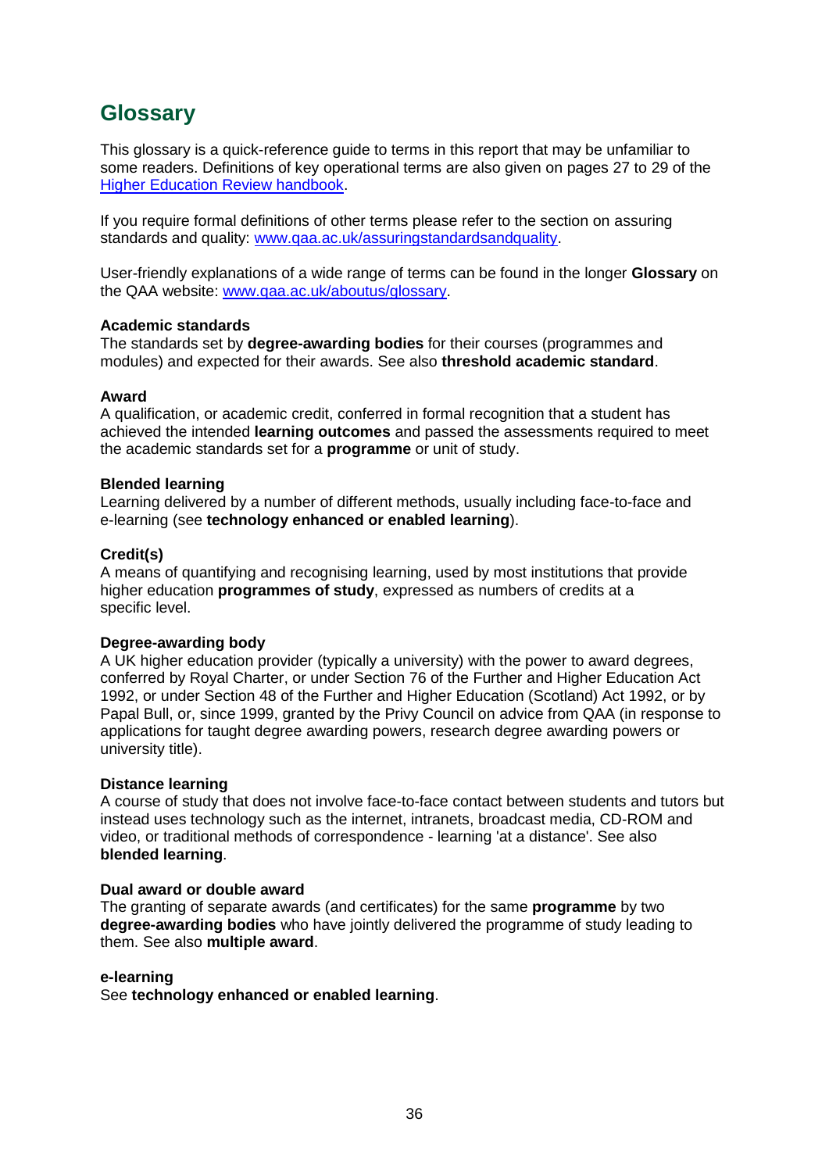## <span id="page-36-0"></span>**Glossary**

This glossary is a quick-reference guide to terms in this report that may be unfamiliar to some readers. Definitions of key operational terms are also given on pages 27 to 29 of the [Higher Education Review handbook.](http://www.qaa.ac.uk/Publications/InformationAndGuidance/Pages/HER-handbook-13.aspx)

If you require formal definitions of other terms please refer to the section on assuring standards and quality: [www.qaa.ac.uk/assuringstandardsandquality.](http://www.qaa.ac.uk/assuringstandardsandquality/pages/default.aspx)

User-friendly explanations of a wide range of terms can be found in the longer **Glossary** on the QAA website: [www.qaa.ac.uk/aboutus/glossary.](http://www.qaa.ac.uk/aboutus/glossary/pages/default.aspx)

#### **Academic standards**

The standards set by **degree-awarding bodies** for their courses (programmes and modules) and expected for their awards. See also **threshold academic standard**.

#### **Award**

A qualification, or academic credit, conferred in formal recognition that a student has achieved the intended **learning outcomes** and passed the assessments required to meet the academic standards set for a **programme** or unit of study.

#### **Blended learning**

Learning delivered by a number of different methods, usually including face-to-face and e-learning (see **[technology enhanced or enabled learning](http://www.qaa.ac.uk/AboutUs/glossary/Pages/glossary-t.aspx#t1)**).

#### **Credit(s)**

A means of quantifying and recognising learning, used by most institutions that provide higher education **programmes of study**, expressed as numbers of credits at a specific level.

#### **Degree-awarding body**

A UK [higher education provider](http://newlive.qaa.ac.uk/AboutUs/glossary/Pages/glossary-h.aspx#h2.1) (typically a [university\)](http://newlive.qaa.ac.uk/AboutUs/glossary/Pages/glossary-u-z.aspx#u4) with the power to award degrees, conferred by Royal Charter, or under Section 76 of the Further and Higher Education Act 1992, or under Section 48 of the Further and Higher Education (Scotland) Act 1992, or by Papal Bull, or, since 1999, granted by the Privy Council on advice from QAA (in response to applications for [taught degree awarding powers, research degree awarding powers or](http://newlive.qaa.ac.uk/AboutUs/DAP/Pages/default.aspx)  [university title\)](http://newlive.qaa.ac.uk/AboutUs/DAP/Pages/default.aspx).

#### **Distance learning**

A course of study that does not involve face-to-face contact between students and tutors but instead uses technology such as the internet, intranets, broadcast media, CD-ROM and video, or traditional methods of correspondence - learning 'at a distance'. See also **blended learning**.

#### **Dual award or double award**

The granting of separate awards (and certificates) for the same **programme** by two **degree-awarding bodies** who have jointly delivered the programme of study leading to them. See also **multiple award**.

#### **e-learning**

See **technology enhanced or enabled learning**.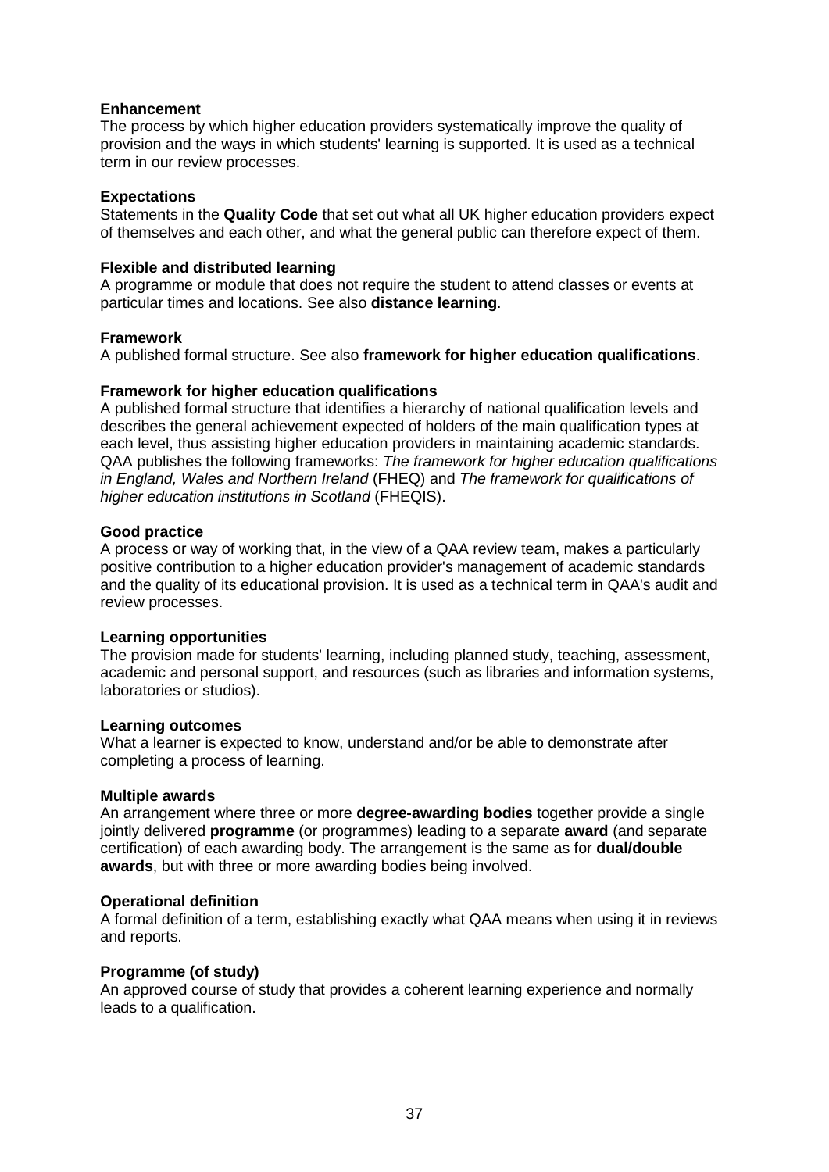#### **Enhancement**

The process by which [higher education providers](http://www.qaa.ac.uk/AboutUs/glossary/Pages/glossary-h.aspx#h2.1) systematically improve the quality of provision and the ways in which students' learning is supported. It is used as a technical term in our review processes.

#### **Expectations**

Statements in the **Quality Code** that set out what all UK [higher education providers](http://newlive.qaa.ac.uk/AboutUs/glossary/Pages/glossary-h.aspx#h2.1) expect of themselves and each other, and what the general public can therefore expect of them.

#### **Flexible and distributed learning**

A [programme](http://newlive.qaa.ac.uk/AboutUs/glossary/Pages/glossary-p.aspx#p12) or [module](http://newlive.qaa.ac.uk/AboutUs/glossary/Pages/glossary-m-o.aspx#m6) that does not require the student to attend classes or events at particular times and locations. See also **distance learning**.

#### **Framework**

A published formal structure. See also **framework for higher education qualifications**.

#### **Framework for higher education qualifications**

A published formal structure that identifies a hierarchy of national qualification levels and describes the general achievement expected of holders of the main qualification types at each level, thus assisting higher education providers in maintaining academic standards. QAA publishes the following frameworks: *The framework for higher education qualifications in England, Wales and Northern Ireland* (FHEQ) and *The framework for qualifications of higher education institutions in Scotland* (FHEQIS).

#### **Good practice**

A process or way of working that, in the view of a QAA review team, makes a particularly positive contribution to a higher education provider's management of academic standards and the quality of its educational provision. It is used as a technical term in QAA's audit and review processes.

#### **Learning opportunities**

The provision made for students' learning, including planned study, teaching, assessment, academic and personal support, and resources (such as libraries and information systems, laboratories or studios).

#### **Learning outcomes**

What a learner is expected to know, understand and/or be able to demonstrate after completing a process of learning.

#### **Multiple awards**

An arrangement where three or more **degree-awarding bodies** together provide a single jointly delivered **programme** (or programmes) leading to a separate **award** (and separate certification) of each awarding body. The arrangement is the same as for **dual/double awards**, but with three or more awarding bodies being involved.

#### **Operational definition**

A formal definition of a term, establishing exactly what QAA means when using it in reviews and reports.

#### **Programme (of study)**

An approved course of study that provides a coherent learning experience and normally leads to a qualification.